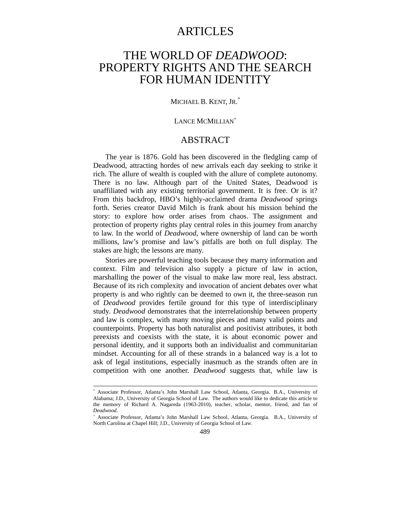# ARTICLES

# THE WORLD OF *DEADWOOD*: PROPERTY RIGHTS AND THE SEARCH FOR HUMAN IDENTITY

### MICHAEL B. KENT, JR. \*

#### LANCE MCMILLIAN<sup>+</sup>

## ABSTRACT

The year is 1876. Gold has been discovered in the fledgling camp of Deadwood, attracting hordes of new arrivals each day seeking to strike it rich. The allure of wealth is coupled with the allure of complete autonomy. There is no law. Although part of the United States, Deadwood is unaffiliated with any existing territorial government. It is free. Or is it? From this backdrop, HBO's highly-acclaimed drama *Deadwood* springs forth. Series creator David Milch is frank about his mission behind the story: to explore how order arises from chaos. The assignment and protection of property rights play central roles in this journey from anarchy to law. In the world of *Deadwood*, where ownership of land can be worth millions, law's promise and law's pitfalls are both on full display. The stakes are high; the lessons are many.

Stories are powerful teaching tools because they marry information and context. Film and television also supply a picture of law in action, marshalling the power of the visual to make law more real, less abstract. Because of its rich complexity and invocation of ancient debates over what property is and who rightly can be deemed to own it, the three-season run of *Deadwood* provides fertile ground for this type of interdisciplinary study. *Deadwood* demonstrates that the interrelationship between property and law is complex, with many moving pieces and many valid points and counterpoints. Property has both naturalist and positivist attributes, it both preexists and coexists with the state, it is about economic power and personal identity, and it supports both an individualist and communitarian mindset. Accounting for all of these strands in a balanced way is a lot to ask of legal institutions, especially inasmuch as the strands often are in competition with one another. *Deadwood* suggests that, while law is

 <sup>\*</sup> Associate Professor, Atlanta's John Marshall Law School, Atlanta, Georgia. B.A., University of Alabama; J.D., University of Georgia School of Law. The authors would like to dedicate this article to the memory of Richard A. Nagareda (1963-2010), teacher, scholar, mentor, friend, and fan of *Deadwood*.

<sup>+</sup> Associate Professor, Atlanta's John Marshall Law School, Atlanta, Georgia. B.A., University of North Carolina at Chapel Hill; J.D., University of Georgia School of Law.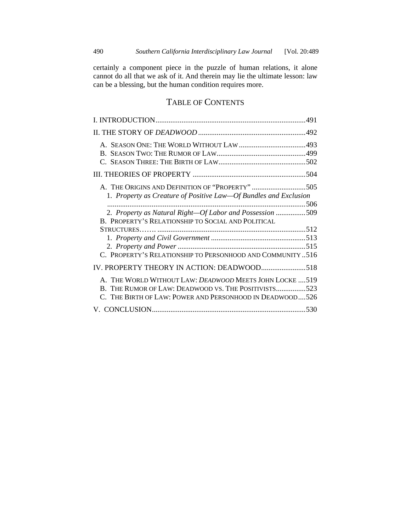certainly a component piece in the puzzle of human relations, it alone cannot do all that we ask of it. And therein may lie the ultimate lesson: law can be a blessing, but the human condition requires more.

## TABLE OF CONTENTS

| A. THE ORIGINS AND DEFINITION OF "PROPERTY" 505                  |  |
|------------------------------------------------------------------|--|
| 1. Property as Creature of Positive Law—Of Bundles and Exclusion |  |
|                                                                  |  |
| 2. Property as Natural Right-Of Labor and Possession 509         |  |
| B. PROPERTY'S RELATIONSHIP TO SOCIAL AND POLITICAL               |  |
|                                                                  |  |
|                                                                  |  |
|                                                                  |  |
| C. PROPERTY'S RELATIONSHIP TO PERSONHOOD AND COMMUNITY  516      |  |
| IV. PROPERTY THEORY IN ACTION: DEADWOOD518                       |  |
| A. THE WORLD WITHOUT LAW: DEADWOOD MEETS JOHN LOCKE  519         |  |
| B. THE RUMOR OF LAW: DEADWOOD VS. THE POSITIVISTS523             |  |
| C. THE BIRTH OF LAW: POWER AND PERSONHOOD IN DEADWOOD526         |  |
|                                                                  |  |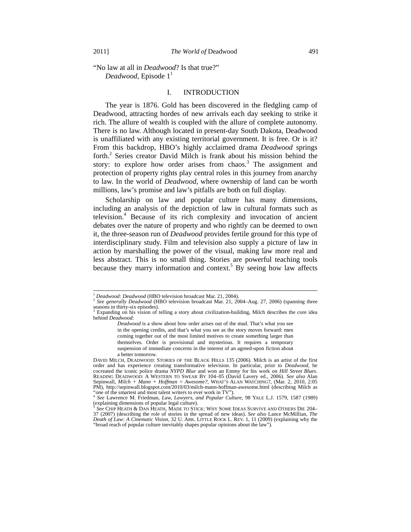"No law at all in *Deadwood*? Is that true?" *Deadwood*, Episode  $1<sup>1</sup>$ 

#### I. INTRODUCTION

The year is 1876. Gold has been discovered in the fledgling camp of Deadwood, attracting hordes of new arrivals each day seeking to strike it rich. The allure of wealth is coupled with the allure of complete autonomy. There is no law. Although located in present-day South Dakota, Deadwood is unaffiliated with any existing territorial government. It is free. Or is it? From this backdrop, HBO's highly acclaimed drama *Deadwood* springs forth.<sup>2</sup> Series creator David Milch is frank about his mission behind the story: to explore how order arises from chaos.<sup>3</sup> The assignment and protection of property rights play central roles in this journey from anarchy to law. In the world of *Deadwood*, where ownership of land can be worth millions, law's promise and law's pitfalls are both on full display.

Scholarship on law and popular culture has many dimensions, including an analysis of the depiction of law in cultural formats such as television.4 Because of its rich complexity and invocation of ancient debates over the nature of property and who rightly can be deemed to own it, the three-season run of *Deadwood* provides fertile ground for this type of interdisciplinary study. Film and television also supply a picture of law in action by marshalling the power of the visual, making law more real and less abstract. This is no small thing. Stories are powerful teaching tools because they marry information and context.<sup>5</sup> By seeing how law affects

<sup>&</sup>lt;sup>1</sup> *Deadwood: Deadwood* (HBO television broadcast Mar. 21, 2004).<br><sup>2</sup> *See generally Deadwood* (HBO television broadcast Mar. 21, 2004–Aug. 27, 2006) (spanning three seasons in thirty-six episodes).<br> $3 \text{ Eynending on his vision of } t$ 

Expanding on his vision of telling a story about civilization-building, Milch describes the core idea behind *Deadwood*:

*Deadwood* is a show about how order arises out of the mud. That's what you see in the opening credits, and that's what you see as the story moves forward: men coming together out of the most limited motives to create something larger than themselves. Order is provisional and mysterious. It requires a temporary suspension of immediate concerns in the interest of an agreed-upon fiction about a better tomorrow.

DAVID MILCH, DEADWOOD: STORIES OF THE BLACK HILLS 135 (2006). Milch is an artist of the first order and has experience creating transformative television. In particular, prior to *Deadwood*, he cocreated the iconic police drama *NYPD Blue* and won an Emmy for his work on *Hill Street Blues*. READING DEADWOOD: A WESTERN TO SWEAR BY 104-05 (David Lavery ed., 2006). *See also* Alan Sepinwall, *Milch + Mann + Hoffman = Awesome?*, WHAT'S ALAN WATCHING?, (Mar. 2, 2010, 2:05 PM), http://sepinwall.blogspot.com/2010/03/milch-mann-hoffman-awesome.html (describing Milch as

<sup>&</sup>quot;one of the smartest and most talent writers to ever work in TV"). 4 *See* Lawrence M. Friedman, *Law, Lawyers, and Popular Culture*, 98 YALE L.J. 1579, 1587 (1989) (explaining dimensions of popular legal culture).

<sup>5</sup> *See* CHIP HEATH & DAN HEATH, MADE TO STICK: WHY SOME IDEAS SURVIVE AND OTHERS DIE 204– 37 (2007) (describing the role of stories in the spread of new ideas). *See also* Lance McMillian, *The Death of Law: A Cinematic Vision*, 32 U. ARK. LITTLE ROCK L. REV. 1, 11 (2009) (explaining why the "broad reach of popular culture inevitably shapes popular opinions about the law").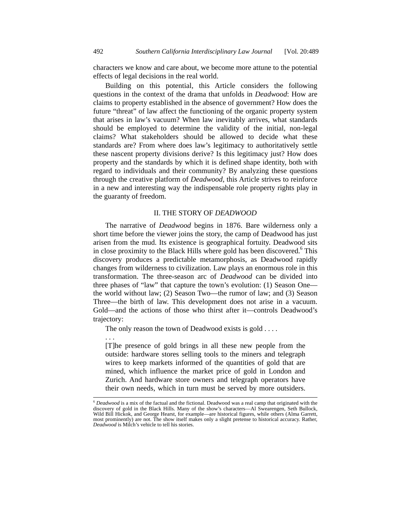characters we know and care about, we become more attune to the potential effects of legal decisions in the real world.

Building on this potential, this Article considers the following questions in the context of the drama that unfolds in *Deadwood*: How are claims to property established in the absence of government? How does the future "threat" of law affect the functioning of the organic property system that arises in law's vacuum? When law inevitably arrives, what standards should be employed to determine the validity of the initial, non-legal claims? What stakeholders should be allowed to decide what these standards are? From where does law's legitimacy to authoritatively settle these nascent property divisions derive? Is this legitimacy just? How does property and the standards by which it is defined shape identity, both with regard to individuals and their community? By analyzing these questions through the creative platform of *Deadwood*, this Article strives to reinforce in a new and interesting way the indispensable role property rights play in the guaranty of freedom.

#### II. THE STORY OF *DEADWOOD*

The narrative of *Deadwood* begins in 1876. Bare wilderness only a short time before the viewer joins the story, the camp of Deadwood has just arisen from the mud. Its existence is geographical fortuity. Deadwood sits in close proximity to the Black Hills where gold has been discovered.<sup>6</sup> This discovery produces a predictable metamorphosis, as Deadwood rapidly changes from wilderness to civilization. Law plays an enormous role in this transformation. The three-season arc of *Deadwood* can be divided into three phases of "law" that capture the town's evolution: (1) Season One the world without law; (2) Season Two—the rumor of law; and (3) Season Three—the birth of law. This development does not arise in a vacuum. Gold—and the actions of those who thirst after it—controls Deadwood's trajectory:

The only reason the town of Deadwood exists is gold . . . .

. . .

[T]he presence of gold brings in all these new people from the outside: hardware stores selling tools to the miners and telegraph wires to keep markets informed of the quantities of gold that are mined, which influence the market price of gold in London and Zurich. And hardware store owners and telegraph operators have their own needs, which in turn must be served by more outsiders.

 <sup>6</sup> *Deadwood* is a mix of the factual and the fictional. Deadwood was a real camp that originated with the discovery of gold in the Black Hills. Many of the show's characters—Al Swearengen, Seth Bullock, Wild Bill Hickok, and George Hearst, for example—are historical figures, while others (Alma Garrett, most prominently) are not. The show itself makes only a slight pretense to historical accuracy. Rather, *Deadwood* is Milch's vehicle to tell his stories.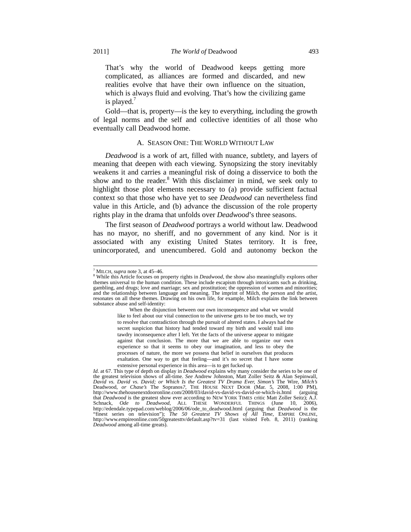That's why the world of Deadwood keeps getting more complicated, as alliances are formed and discarded, and new realities evolve that have their own influence on the situation, which is always fluid and evolving. That's how the civilizing game is played. $<sup>7</sup>$ </sup>

Gold—that is, property—is the key to everything, including the growth of legal norms and the self and collective identities of all those who eventually call Deadwood home.

#### A. SEASON ONE: THE WORLD WITHOUT LAW

*Deadwood* is a work of art, filled with nuance, subtlety, and layers of meaning that deepen with each viewing. Synopsizing the story inevitably weakens it and carries a meaningful risk of doing a disservice to both the show and to the reader.<sup>8</sup> With this disclaimer in mind, we seek only to highlight those plot elements necessary to (a) provide sufficient factual context so that those who have yet to see *Deadwood* can nevertheless find value in this Article, and (b) advance the discussion of the role property rights play in the drama that unfolds over *Deadwood*'s three seasons.

The first season of *Deadwood* portrays a world without law. Deadwood has no mayor, no sheriff, and no government of any kind. Nor is it associated with any existing United States territory. It is free, unincorporated, and unencumbered. Gold and autonomy beckon the

 When the disjunction between our own inconsequence and what we would like to feel about our vital connection to the universe gets to be too much, we try to resolve that contradiction through the pursuit of altered states. I always had the secret suspicion that history had tended toward my birth and would trail into tawdry inconsequence after I left. Yet the facts of the universe appear to mitigate against that conclusion. The more that we are able to organize our own experience so that it seems to obey our imagination, and less to obey the processes of nature, the more we possess that belief in ourselves that produces exaltation. One way to get that feeling—and it's no secret that I have some extensive personal experience in this area—is to get fucked up.

<sup>-&</sup>lt;br>7  $<sup>7</sup>$  MILCH, *supra* note 3, at 45–46.</sup>

While this Article focuses on property rights in *Deadwood*, the show also meaningfully explores other themes universal to the human condition. These include escapism through intoxicants such as drinking, gambling, and drugs; love and marriage; sex and prostitution; the oppression of women and minorities; and the relationship between language and meaning. The imprint of Milch, the person and the artist, resonates on all these themes. Drawing on his own life, for example, Milch explains the link between substance abuse and self-identity:

*Id.* at 67. This type of depth on display in *Deadwood* explains why many consider the series to be one of the greatest television shows of all-time. *See* Andrew Johnston, Matt Zoller Seitz & Alan Sepinwall, *David vs. David vs. David; or Which Is the Greatest TV Drama Ever, Simon's* The Wire*, Milch's*  Deadwood, or Chase's The Sopranos?, THE HOUSE NEXT DOOR (Mar. 5, 2008, 1:00 PM), http://www.thehousenextdooronline.com/2008/03/david-vs-david-vs-david-or-which-is.html (arguing that *Deadwood* is the greatest show ever according to NEW YORK TIMES critic Matt Zoller Seitz); A.J. Schnack, *Ode to Deadwood*, ALL THESE WONDERFUL THINGS (June 10, 2006), http://edendale.typepad.com/weblog/2006/06/ode\_to\_deadwood.html (arguing that *Deadwood* is the "finest series on television"); *The 50 Greatest TV Shows of All Time*, EMPIRE ONLINE, http://www.empireonline.com/50greatesttv/default.asp?tv=31 (last visited Feb. 8, 2011) (ranking *Deadwood* among all-time greats).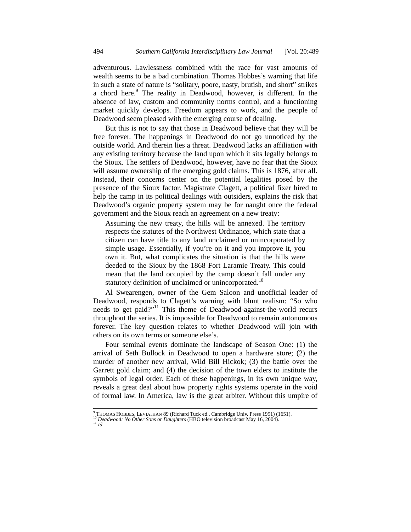adventurous. Lawlessness combined with the race for vast amounts of wealth seems to be a bad combination. Thomas Hobbes's warning that life in such a state of nature is "solitary, poore, nasty, brutish, and short" strikes a chord here.<sup>9</sup> The reality in Deadwood, however, is different. In the absence of law, custom and community norms control, and a functioning market quickly develops. Freedom appears to work, and the people of Deadwood seem pleased with the emerging course of dealing.

But this is not to say that those in Deadwood believe that they will be free forever. The happenings in Deadwood do not go unnoticed by the outside world. And therein lies a threat. Deadwood lacks an affiliation with any existing territory because the land upon which it sits legally belongs to the Sioux. The settlers of Deadwood, however, have no fear that the Sioux will assume ownership of the emerging gold claims. This is 1876, after all. Instead, their concerns center on the potential legalities posed by the presence of the Sioux factor. Magistrate Clagett, a political fixer hired to help the camp in its political dealings with outsiders, explains the risk that Deadwood's organic property system may be for naught once the federal government and the Sioux reach an agreement on a new treaty:

Assuming the new treaty, the hills will be annexed. The territory respects the statutes of the Northwest Ordinance, which state that a citizen can have title to any land unclaimed or unincorporated by simple usage. Essentially, if you're on it and you improve it, you own it. But, what complicates the situation is that the hills were deeded to the Sioux by the 1868 Fort Laramie Treaty. This could mean that the land occupied by the camp doesn't fall under any statutory definition of unclaimed or unincorporated.<sup>10</sup>

Al Swearengen, owner of the Gem Saloon and unofficial leader of Deadwood, responds to Clagett's warning with blunt realism: "So who needs to get paid?"11 This theme of Deadwood-against-the-world recurs throughout the series. It is impossible for Deadwood to remain autonomous forever. The key question relates to whether Deadwood will join with others on its own terms or someone else's.

Four seminal events dominate the landscape of Season One: (1) the arrival of Seth Bullock in Deadwood to open a hardware store; (2) the murder of another new arrival, Wild Bill Hickok; (3) the battle over the Garrett gold claim; and (4) the decision of the town elders to institute the symbols of legal order. Each of these happenings, in its own unique way, reveals a great deal about how property rights systems operate in the void of formal law. In America, law is the great arbiter. Without this umpire of

<sup>-&</sup>lt;br>9 <sup>9</sup> THOMAS HOBBES, LEVIATHAN 89 (Richard Tuck ed., Cambridge Univ. Press 1991) (1651). <sup>10</sup> *Deadwood: No Other Sons or Daughters* (HBO television broadcast May 16, 2004). <sup>11</sup> *Id.*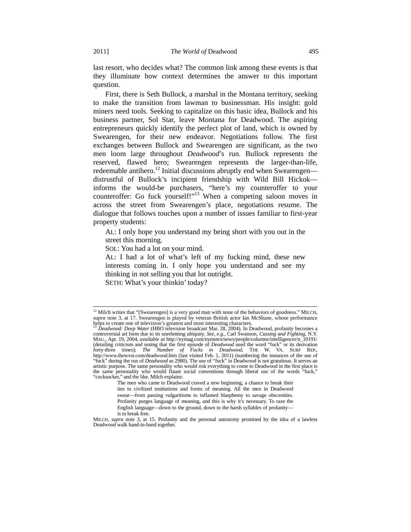last resort, who decides what? The common link among these events is that they illuminate how context determines the answer to this important question.

First, there is Seth Bullock, a marshal in the Montana territory, seeking to make the transition from lawman to businessman. His insight: gold miners need tools. Seeking to capitalize on this basic idea, Bullock and his business partner, Sol Star, leave Montana for Deadwood. The aspiring entrepreneurs quickly identify the perfect plot of land, which is owned by Swearengen, for their new endeavor. Negotiations follow. The first exchanges between Bullock and Swearengen are significant, as the two men loom large throughout *Deadwood*'s run. Bullock represents the reserved, flawed hero; Swearengen represents the larger-than-life, redeemable antihero.<sup>12</sup> Initial discussions abruptly end when Swearengen distrustful of Bullock's incipient friendship with Wild Bill Hickok informs the would-be purchasers, "here's my counteroffer to your counteroffer: Go fuck yourself!"<sup>13</sup> When a competing saloon moves in across the street from Swearengen's place, negotiations resume. The dialogue that follows touches upon a number of issues familiar to first-year property students:

AL: I only hope you understand my being short with you out in the street this morning.

SOL: You had a lot on your mind.

AL: I had a lot of what's left of my fucking mind, these new interests coming in. I only hope you understand and see my thinking in not selling you that lot outright. SETH: What's your thinkin' today?

<sup>&</sup>lt;sup>12</sup> Milch writes that "[Swearengen] is a very good man with none of the behaviors of goodness." MILCH, *supra* note 3, at 17. Swearengen is played by veteran British actor Ian McShane, whose performance helps to create one of television's greatest and most interesting characters. 13 *Deadwood: Deep Water* (HBO television broadcast Mar. 28, 2004). In Deadwood, profanity becomes a

controversial art form due to its unrelenting ubiquity. *See, e.g.*, Carl Swanson, *Cussing and Fighting*, N.Y. MAG., Apr. 19, 2004, *available at* http://nymag.com/nymetro/news/people/columns/intelligencer/n\_10191/ (detailing criticism and noting that the first episode of *Deadwood* used the word "fuck" or its derivation forty-three times); *The Number of Fucks in Deadwood*, THE W. VA. SURF REP., http://www.thewvsr.com/deadwood.htm (last visited Feb. 1, 2011) (numbering the instances of the use of "fuck" during the run of *Deadwood* as 2980). The use of "fuck" in Deadwood is not gratuitous. It serves an artistic purpose. The same personality who would risk everything to come to Deadwood in the first place is the same personality who would flaunt social conventions through liberal use of the words "fuck," "cocksucker," and the like. Milch explains:

The men who came to Deadwood craved a new beginning, a chance to break their ties to civilized institutions and forms of meaning. All the men in Deadwood swear—from passing vulgaritisms to inflamed blasphemy to savage obscenities. Profanity purges language of meaning, and this is why it's necessary. To raze the English language—down to the ground, down to the harsh syllables of profanity is to break free.

MILCH, *supra* note 3, at 15. Profanity and the personal autonomy promised by the idea of a lawless Deadwood walk hand-in-hand together.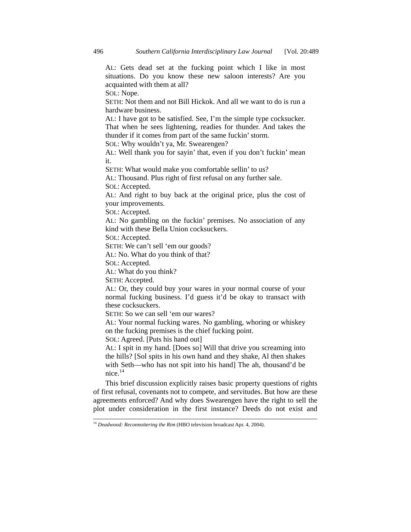AL: Gets dead set at the fucking point which I like in most situations. Do you know these new saloon interests? Are you acquainted with them at all?

SOL: Nope.

SETH: Not them and not Bill Hickok. And all we want to do is run a hardware business.

AL: I have got to be satisfied. See, I'm the simple type cocksucker. That when he sees lightening, readies for thunder. And takes the thunder if it comes from part of the same fuckin' storm.

SOL: Why wouldn't ya, Mr. Swearengen?

AL: Well thank you for sayin' that, even if you don't fuckin' mean it.

SETH: What would make you comfortable sellin' to us?

AL: Thousand. Plus right of first refusal on any further sale.

SOL: Accepted.

AL: And right to buy back at the original price, plus the cost of your improvements.

SOL: Accepted.

AL: No gambling on the fuckin' premises. No association of any kind with these Bella Union cocksuckers.

SOL: Accepted.

SETH: We can't sell 'em our goods?

AL: No. What do you think of that?

SOL: Accepted.

AL: What do you think?

SETH: Accepted.

AL: Or, they could buy your wares in your normal course of your normal fucking business. I'd guess it'd be okay to transact with these cocksuckers.

SETH: So we can sell 'em our wares?

AL: Your normal fucking wares. No gambling, whoring or whiskey on the fucking premises is the chief fucking point.

SOL: Agreed. [Puts his hand out]

AL: I spit in my hand. [Does so] Will that drive you screaming into the hills? [Sol spits in his own hand and they shake, Al then shakes with Seth—who has not spit into his hand] The ah, thousand'd be nice.<sup>14</sup>

This brief discussion explicitly raises basic property questions of rights of first refusal, covenants not to compete, and servitudes. But how are these agreements enforced? And why does Swearengen have the right to sell the plot under consideration in the first instance? Deeds do not exist and

<sup>&</sup>lt;sup>14</sup> Deadwood: Reconnoitering the Rim (HBO television broadcast Apr. 4, 2004).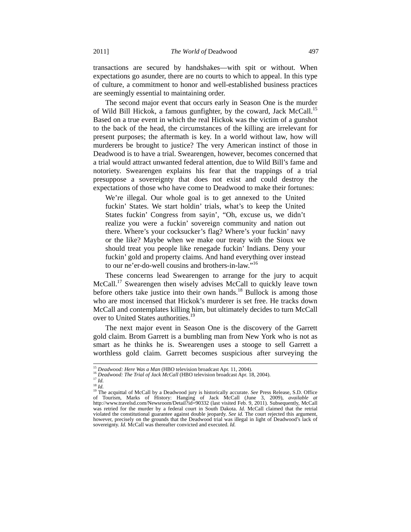transactions are secured by handshakes—with spit or without. When expectations go asunder, there are no courts to which to appeal. In this type of culture, a commitment to honor and well-established business practices are seemingly essential to maintaining order.

The second major event that occurs early in Season One is the murder of Wild Bill Hickok, a famous gunfighter, by the coward, Jack McCall.<sup>15</sup> Based on a true event in which the real Hickok was the victim of a gunshot to the back of the head, the circumstances of the killing are irrelevant for present purposes; the aftermath is key. In a world without law, how will murderers be brought to justice? The very American instinct of those in Deadwood is to have a trial. Swearengen, however, becomes concerned that a trial would attract unwanted federal attention, due to Wild Bill's fame and notoriety. Swearengen explains his fear that the trappings of a trial presuppose a sovereignty that does not exist and could destroy the expectations of those who have come to Deadwood to make their fortunes:

We're illegal. Our whole goal is to get annexed to the United fuckin' States. We start holdin' trials, what's to keep the United States fuckin' Congress from sayin', "Oh, excuse us, we didn't realize you were a fuckin' sovereign community and nation out there. Where's your cocksucker's flag? Where's your fuckin' navy or the like? Maybe when we make our treaty with the Sioux we should treat you people like renegade fuckin' Indians. Deny your fuckin' gold and property claims. And hand everything over instead to our ne'er-do-well cousins and brothers-in-law."<sup>16</sup>

These concerns lead Swearengen to arrange for the jury to acquit McCall.<sup>17</sup> Swearengen then wisely advises McCall to quickly leave town before others take justice into their own hands.<sup>18</sup> Bullock is among those who are most incensed that Hickok's murderer is set free. He tracks down McCall and contemplates killing him, but ultimately decides to turn McCall over to United States authorities.<sup>19</sup>

The next major event in Season One is the discovery of the Garrett gold claim. Brom Garrett is a bumbling man from New York who is not as smart as he thinks he is. Swearengen uses a stooge to sell Garrett a worthless gold claim. Garrett becomes suspicious after surveying the

<sup>&</sup>lt;sup>15</sup> *Deadwood: Here Was a Man* (HBO television broadcast Apr. 11, 2004).<br><sup>16</sup> *Deadwood: The Trial of Jack McCall* (HBO television broadcast Apr. 18, 2004).<br><sup>17</sup> *Id.* <sup>18</sup> *Id* 

<sup>18</sup> *Id.* 19 The acquittal of McCall by a Deadwood jury is historically accurate. *See* Press Release, S.D. Office of Tourism, Marks of History: Hanging of Jack McCall (June 3, 2009), *available at* http://www.travelsd.com/Newsroom/Detail?id=90332 (last visited Feb. 9, 2011). Subsequently, McCall was retried for the murder by a federal court in South Dakota. *Id.* McCall claimed that the retrial violated the constitutional guarantee against double jeopardy. *See id.* The court rejected this argument, however, precisely on the grounds that the Deadwood trial was illegal in light of Deadwood's lack of sovereignty. *Id.* McCall was thereafter convicted and executed. *Id.*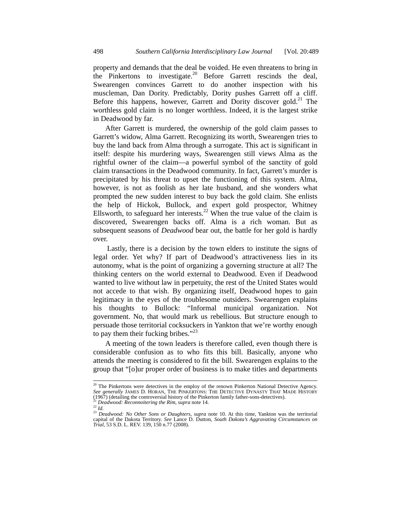property and demands that the deal be voided. He even threatens to bring in the Pinkertons to investigate.20 Before Garrett rescinds the deal, Swearengen convinces Garrett to do another inspection with his muscleman, Dan Dority. Predictably, Dority pushes Garrett off a cliff. Before this happens, however, Garrett and Dority discover gold.<sup>21</sup> The worthless gold claim is no longer worthless. Indeed, it is the largest strike in Deadwood by far.

After Garrett is murdered, the ownership of the gold claim passes to Garrett's widow, Alma Garrett. Recognizing its worth, Swearengen tries to buy the land back from Alma through a surrogate. This act is significant in itself: despite his murdering ways, Swearengen still views Alma as the rightful owner of the claim—a powerful symbol of the sanctity of gold claim transactions in the Deadwood community. In fact, Garrett's murder is precipitated by his threat to upset the functioning of this system. Alma, however, is not as foolish as her late husband, and she wonders what prompted the new sudden interest to buy back the gold claim. She enlists the help of Hickok, Bullock, and expert gold prospector, Whitney Ellsworth, to safeguard her interests.<sup>22</sup> When the true value of the claim is discovered, Swearengen backs off. Alma is a rich woman. But as subsequent seasons of *Deadwood* bear out, the battle for her gold is hardly over.

 Lastly, there is a decision by the town elders to institute the signs of legal order. Yet why? If part of Deadwood's attractiveness lies in its autonomy, what is the point of organizing a governing structure at all? The thinking centers on the world external to Deadwood. Even if Deadwood wanted to live without law in perpetuity, the rest of the United States would not accede to that wish. By organizing itself, Deadwood hopes to gain legitimacy in the eyes of the troublesome outsiders. Swearengen explains his thoughts to Bullock: "Informal municipal organization. Not government. No, that would mark us rebellious. But structure enough to persuade those territorial cocksuckers in Yankton that we're worthy enough to pay them their fucking bribes." $^{23}$ 

A meeting of the town leaders is therefore called, even though there is considerable confusion as to who fits this bill. Basically, anyone who attends the meeting is considered to fit the bill. Swearengen explains to the group that "[o]ur proper order of business is to make titles and departments

<sup>&</sup>lt;sup>20</sup> The Pinkertons were detectives in the employ of the renown Pinkerton National Detective Agency. *See generally* JAMES D. HORAN, THE PINKERTONS: THE DETECTIVE DYNASTY THAT MADE HISTORY (1967) (detailing the controversial history of the Pinkerton family father-sons-detectives).<br>
<sup>21</sup> Deadwood: Reconnoitering the Rim, supra note 14.<br>
<sup>22</sup> Id.<br>
<sup>23</sup> Deadwood: No Other Sons or Daughters, supra note 10. At t

capital of the Dakota Territory. *See* Lance D. Dutton, *South Dakota's Aggravating Circumstances on Trial*, 53 S.D. L. REV. 139, 150 n.77 (2008).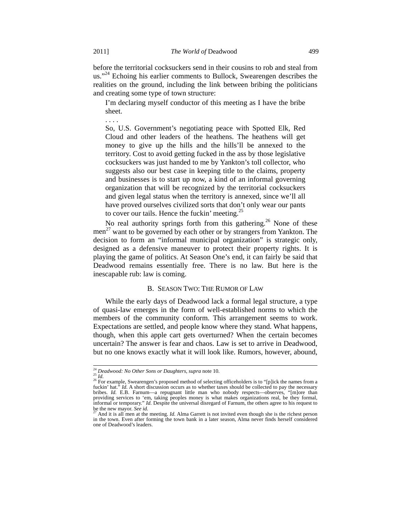before the territorial cocksuckers send in their cousins to rob and steal from us."<sup>24</sup> Echoing his earlier comments to Bullock, Swearengen describes the realities on the ground, including the link between bribing the politicians and creating some type of town structure:

I'm declaring myself conductor of this meeting as I have the bribe sheet.

So, U.S. Government's negotiating peace with Spotted Elk, Red Cloud and other leaders of the heathens. The heathens will get money to give up the hills and the hills'll be annexed to the territory. Cost to avoid getting fucked in the ass by those legislative cocksuckers was just handed to me by Yankton's toll collector, who suggests also our best case in keeping title to the claims, property and businesses is to start up now, a kind of an informal governing organization that will be recognized by the territorial cocksuckers and given legal status when the territory is annexed, since we'll all have proved ourselves civilized sorts that don't only wear our pants to cover our tails. Hence the fuckin' meeting.<sup>25</sup>

No real authority springs forth from this gathering.<sup>26</sup> None of these men<sup>27</sup> want to be governed by each other or by strangers from Yankton. The decision to form an "informal municipal organization" is strategic only, designed as a defensive maneuver to protect their property rights. It is playing the game of politics. At Season One's end, it can fairly be said that Deadwood remains essentially free. There is no law. But here is the inescapable rub: law is coming.

#### B. SEASON TWO: THE RUMOR OF LAW

While the early days of Deadwood lack a formal legal structure, a type of quasi-law emerges in the form of well-established norms to which the members of the community conform. This arrangement seems to work. Expectations are settled, and people know where they stand. What happens, though, when this apple cart gets overturned? When the certain becomes uncertain? The answer is fear and chaos. Law is set to arrive in Deadwood, but no one knows exactly what it will look like. Rumors, however, abound,

. . . .

<sup>&</sup>lt;sup>24</sup> *Deadwood: No Other Sons or Daughters, supra* note 10.<br><sup>25</sup> *Id.* <sup>26</sup> For example, Swearengen's proposed method of selecting officeholders is to "[p]ick the names from a fuckin' hat." *Id.* A short discussion occurs as to whether taxes should be collected to pay the necessary bribes. *Id.* E.B. Farnum—a repugnant little man who nobody respects—observes, "[m]ore than providing services to ' informal or temporary." *Id.* Despite the universal disregard of Farnum, the others agree to his request to be the new mayor. *See id.* 27 And it is all men at the meeting. *Id.* Alma Garrett is not invited even though she is the richest person

in the town. Even after forming the town bank in a later season, Alma never finds herself considered one of Deadwood's leaders.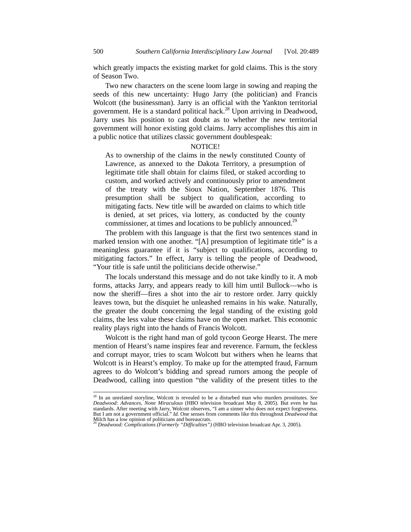which greatly impacts the existing market for gold claims. This is the story of Season Two.

Two new characters on the scene loom large in sowing and reaping the seeds of this new uncertainty: Hugo Jarry (the politician) and Francis Wolcott (the businessman). Jarry is an official with the Yankton territorial government. He is a standard political hack.<sup>28</sup> Upon arriving in Deadwood, Jarry uses his position to cast doubt as to whether the new territorial government will honor existing gold claims. Jarry accomplishes this aim in a public notice that utilizes classic government doublespeak:

#### NOTICE!

As to ownership of the claims in the newly constituted County of Lawrence, as annexed to the Dakota Territory, a presumption of legitimate title shall obtain for claims filed, or staked according to custom, and worked actively and continuously prior to amendment of the treaty with the Sioux Nation, September 1876. This presumption shall be subject to qualification, according to mitigating facts. New title will be awarded on claims to which title is denied, at set prices, via lottery, as conducted by the county commissioner, at times and locations to be publicly announced.<sup>29</sup>

The problem with this language is that the first two sentences stand in marked tension with one another. "[A] presumption of legitimate title" is a meaningless guarantee if it is "subject to qualifications, according to mitigating factors." In effect, Jarry is telling the people of Deadwood, "Your title is safe until the politicians decide otherwise."

The locals understand this message and do not take kindly to it. A mob forms, attacks Jarry, and appears ready to kill him until Bullock—who is now the sheriff—fires a shot into the air to restore order. Jarry quickly leaves town, but the disquiet he unleashed remains in his wake. Naturally, the greater the doubt concerning the legal standing of the existing gold claims, the less value these claims have on the open market. This economic reality plays right into the hands of Francis Wolcott.

Wolcott is the right hand man of gold tycoon George Hearst. The mere mention of Hearst's name inspires fear and reverence. Farnum, the feckless and corrupt mayor, tries to scam Wolcott but withers when he learns that Wolcott is in Hearst's employ. To make up for the attempted fraud, Farnum agrees to do Wolcott's bidding and spread rumors among the people of Deadwood, calling into question "the validity of the present titles to the

 <sup>28</sup> In an unrelated storyline, Wolcott is revealed to be a disturbed man who murders prostitutes. *See Deadwood: Advances, None Miraculous* (HBO television broadcast May 8, 2005). But even he has standards. After meeting with Jarry, Wolcott observes, "I am a sinner who does not expect forgiveness. But I am not a government official." *Id.* One senses from comments like this throughout *Deadwood* that

Milch has a low opinion of politicians and bureaucrats. 29 *Deadwood: Complications (Formerly "Difficulties")* (HBO television broadcast Apr. 3, 2005).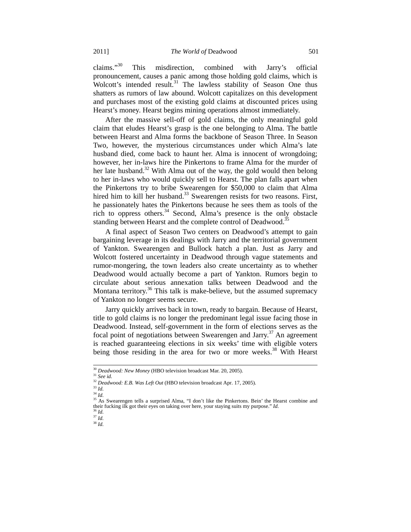claims."30 This misdirection, combined with Jarry's official pronouncement, causes a panic among those holding gold claims, which is Wolcott's intended result.<sup>31</sup> The lawless stability of Season One thus shatters as rumors of law abound. Wolcott capitalizes on this development and purchases most of the existing gold claims at discounted prices using Hearst's money. Hearst begins mining operations almost immediately.

After the massive sell-off of gold claims, the only meaningful gold claim that eludes Hearst's grasp is the one belonging to Alma. The battle between Hearst and Alma forms the backbone of Season Three. In Season Two, however, the mysterious circumstances under which Alma's late husband died, come back to haunt her. Alma is innocent of wrongdoing; however, her in-laws hire the Pinkertons to frame Alma for the murder of her late husband.<sup>32</sup> With Alma out of the way, the gold would then belong to her in-laws who would quickly sell to Hearst. The plan falls apart when the Pinkertons try to bribe Swearengen for \$50,000 to claim that Alma hired him to kill her husband.<sup>33</sup> Swearengen resists for two reasons. First, he passionately hates the Pinkertons because he sees them as tools of the rich to oppress others.34 Second, Alma's presence is the only obstacle standing between Hearst and the complete control of Deadwood.<sup>35</sup>

A final aspect of Season Two centers on Deadwood's attempt to gain bargaining leverage in its dealings with Jarry and the territorial government of Yankton. Swearengen and Bullock hatch a plan. Just as Jarry and Wolcott fostered uncertainty in Deadwood through vague statements and rumor-mongering, the town leaders also create uncertainty as to whether Deadwood would actually become a part of Yankton. Rumors begin to circulate about serious annexation talks between Deadwood and the Montana territory.<sup>36</sup> This talk is make-believe, but the assumed supremacy of Yankton no longer seems secure.

Jarry quickly arrives back in town, ready to bargain. Because of Hearst, title to gold claims is no longer the predominant legal issue facing those in Deadwood. Instead, self-government in the form of elections serves as the focal point of negotiations between Swearengen and Jarry.<sup>37</sup> An agreement is reached guaranteeing elections in six weeks' time with eligible voters being those residing in the area for two or more weeks.<sup>38</sup> With Hearst

 $37$  *Id.* 

<sup>30</sup> *Deadwood: New Money* (HBO television broadcast Mar. 20, 2005). 31 *See id.* 

<sup>&</sup>lt;sup>32</sup> *Deadwood: E.B. Was Left Out* (HBO television broadcast Apr. 17, 2005). <sup>33</sup> *Id* 

<sup>&</sup>lt;sup>34</sup> *Id.*<br><sup>35</sup> As Swearengen tells a surprised Alma, "I don't like the Pinkertons. Bein' the Hearst combine and

their fucking ilk got their eyes on taking over here, your staying suits my purpose." *Id.* <sup>36</sup> *Id.* 

<sup>38</sup> *Id.*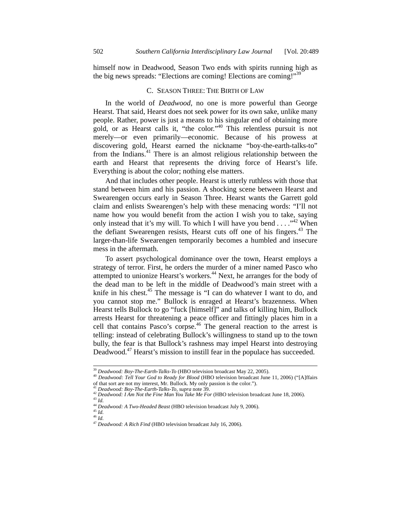himself now in Deadwood, Season Two ends with spirits running high as the big news spreads: "Elections are coming! Elections are coming!"<sup>39</sup>

#### C. SEASON THREE: THE BIRTH OF LAW

In the world of *Deadwood*, no one is more powerful than George Hearst. That said, Hearst does not seek power for its own sake, unlike many people. Rather, power is just a means to his singular end of obtaining more gold, or as Hearst calls it, "the color."40 This relentless pursuit is not merely—or even primarily—economic. Because of his prowess at discovering gold, Hearst earned the nickname "boy-the-earth-talks-to" from the Indians.<sup>41</sup> There is an almost religious relationship between the earth and Hearst that represents the driving force of Hearst's life. Everything is about the color; nothing else matters.

And that includes other people. Hearst is utterly ruthless with those that stand between him and his passion. A shocking scene between Hearst and Swearengen occurs early in Season Three. Hearst wants the Garrett gold claim and enlists Swearengen's help with these menacing words: "I'll not name how you would benefit from the action I wish you to take, saying only instead that it's my will. To which I will have you bend . . . ."42 When the defiant Swearengen resists, Hearst cuts off one of his fingers.<sup>43</sup> The larger-than-life Swearengen temporarily becomes a humbled and insecure mess in the aftermath.

To assert psychological dominance over the town, Hearst employs a strategy of terror. First, he orders the murder of a miner named Pasco who attempted to unionize Hearst's workers.<sup>44</sup> Next, he arranges for the body of the dead man to be left in the middle of Deadwood's main street with a knife in his chest.<sup>45</sup> The message is "I can do whatever I want to do, and you cannot stop me." Bullock is enraged at Hearst's brazenness. When Hearst tells Bullock to go "fuck [himself]" and talks of killing him, Bullock arrests Hearst for threatening a peace officer and fittingly places him in a cell that contains Pasco's corpse.<sup>46</sup> The general reaction to the arrest is telling: instead of celebrating Bullock's willingness to stand up to the town bully, the fear is that Bullock's rashness may impel Hearst into destroying Deadwood.<sup>47</sup> Hearst's mission to instill fear in the populace has succeeded.

<sup>&</sup>lt;sup>39</sup> *Deadwood: Boy-The-Earth-Talks-To* (HBO television broadcast May 22, 2005).<br><sup>40</sup> *Deadwood: Tell Your God to Ready for Blood* (HBO television broadcast June 11, 2006) ("[A]ffairs<br>of that sort are not my interest, Mr.

<sup>&</sup>lt;sup>41</sup> Deadwood: Boy-The-Earth-Talks-To, supra note 39.<br><sup>42</sup> Deadwood: I Am Not the Fine Man You Take Me For (HBO television broadcast June 18, 2006).<br><sup>43</sup> Id.

<sup>44</sup> **Deadwood: A Two-Headed Beast (HBO television broadcast July 9, 2006).**<br><sup>45</sup> *Id. M* 

<sup>47</sup> *Deadwood: A Rich Find* (HBO television broadcast July 16, 2006).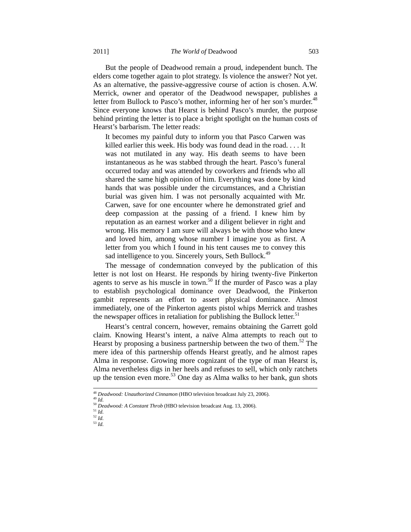But the people of Deadwood remain a proud, independent bunch. The elders come together again to plot strategy. Is violence the answer? Not yet. As an alternative, the passive-aggressive course of action is chosen. A.W. Merrick, owner and operator of the Deadwood newspaper, publishes a letter from Bullock to Pasco's mother, informing her of her son's murder.<sup>48</sup> Since everyone knows that Hearst is behind Pasco's murder, the purpose behind printing the letter is to place a bright spotlight on the human costs of Hearst's barbarism. The letter reads:

It becomes my painful duty to inform you that Pasco Carwen was killed earlier this week. His body was found dead in the road. . . . It was not mutilated in any way. His death seems to have been instantaneous as he was stabbed through the heart. Pasco's funeral occurred today and was attended by coworkers and friends who all shared the same high opinion of him. Everything was done by kind hands that was possible under the circumstances, and a Christian burial was given him. I was not personally acquainted with Mr. Carwen, save for one encounter where he demonstrated grief and deep compassion at the passing of a friend. I knew him by reputation as an earnest worker and a diligent believer in right and wrong. His memory I am sure will always be with those who knew and loved him, among whose number I imagine you as first. A letter from you which I found in his tent causes me to convey this sad intelligence to you. Sincerely yours, Seth Bullock.<sup>49</sup>

The message of condemnation conveyed by the publication of this letter is not lost on Hearst. He responds by hiring twenty-five Pinkerton agents to serve as his muscle in town.<sup>50</sup> If the murder of Pasco was a play to establish psychological dominance over Deadwood, the Pinkerton gambit represents an effort to assert physical dominance. Almost immediately, one of the Pinkerton agents pistol whips Merrick and trashes the newspaper offices in retaliation for publishing the Bullock letter.<sup>51</sup>

Hearst's central concern, however, remains obtaining the Garrett gold claim. Knowing Hearst's intent, a naïve Alma attempts to reach out to Hearst by proposing a business partnership between the two of them.<sup>52</sup> The mere idea of this partnership offends Hearst greatly, and he almost rapes Alma in response. Growing more cognizant of the type of man Hearst is, Alma nevertheless digs in her heels and refuses to sell, which only ratchets up the tension even more.<sup>53</sup> One day as Alma walks to her bank, gun shots

<sup>&</sup>lt;sup>48</sup> *Deadwood: Unauthorized Cinnamon* (HBO television broadcast July 23, 2006).<br><sup>50</sup> *Deadwood: A Constant Throb* (HBO television broadcast Aug. 13, 2006).<br><sup>51</sup> *Id* 

<sup>52</sup> *Id.* 

<sup>53</sup> *Id.*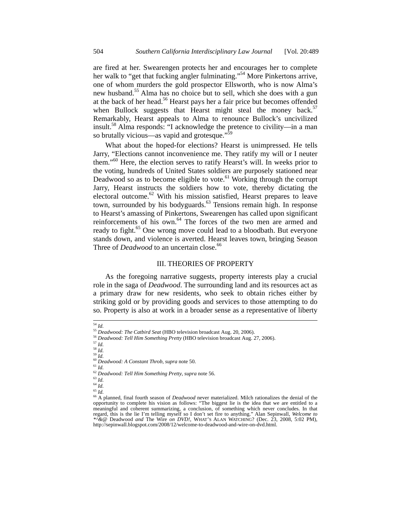are fired at her. Swearengen protects her and encourages her to complete her walk to "get that fucking angler fulminating."<sup>54</sup> More Pinkertons arrive, one of whom murders the gold prospector Ellsworth, who is now Alma's new husband.<sup>55</sup> Alma has no choice but to sell, which she does with a gun at the back of her head.<sup>56</sup> Hearst pays her a fair price but becomes offended when Bullock suggests that Hearst might steal the money back.<sup>57</sup> Remarkably, Hearst appeals to Alma to renounce Bullock's uncivilized insult.58 Alma responds: "I acknowledge the pretence to civility—in a man so brutally vicious—as vapid and grotesque."<sup>5</sup>

What about the hoped-for elections? Hearst is unimpressed. He tells Jarry, "Elections cannot inconvenience me. They ratify my will or I neuter them."<sup>60</sup> Here, the election serves to ratify Hearst's will. In weeks prior to the voting, hundreds of United States soldiers are purposely stationed near Deadwood so as to become eligible to vote.<sup>61</sup> Working through the corrupt Jarry, Hearst instructs the soldiers how to vote, thereby dictating the electoral outcome.<sup>62</sup> With his mission satisfied, Hearst prepares to leave town, surrounded by his bodyguards.<sup>63</sup> Tensions remain high. In response to Hearst's amassing of Pinkertons, Swearengen has called upon significant reinforcements of his own.<sup>64</sup> The forces of the two men are armed and ready to fight.<sup>65</sup> One wrong move could lead to a bloodbath. But everyone stands down, and violence is averted. Hearst leaves town, bringing Season Three of *Deadwood* to an uncertain close.<sup>66</sup>

#### III. THEORIES OF PROPERTY

As the foregoing narrative suggests, property interests play a crucial role in the saga of *Deadwood*. The surrounding land and its resources act as a primary draw for new residents, who seek to obtain riches either by striking gold or by providing goods and services to those attempting to do so. Property is also at work in a broader sense as a representative of liberty

<sup>64</sup> *Id.*

<sup>54</sup> *Id.* <sup>55</sup> *Deadwood: The Catbird Seat* (HBO television broadcast Aug. 20, 2006).

<sup>56</sup> *Deadwood: Tell Him Something Pretty* (HBO television broadcast Aug. 27, 2006). 57 *Id.*

<sup>58</sup> *Id.* <sup>59</sup> *Id.* <sup>60</sup> *Deadwood: A Constant Throb*, *supra* note 50. 61 *Id.* 

<sup>62</sup> *Deadwood: Tell Him Something Pretty*, *supra* note 56. 63 *Id.* 

<sup>&</sup>lt;sup>66</sup> A planned, final fourth season of *Deadwood* never materialized. Milch rationalizes the denial of the opportunity to complete his vision as follows: "The biggest lie is the idea that we are entitled to a meaningful and coherent summarizing, a conclusion, of something which never concludes. In that regard, this is the lie I'm telling myself so I don't set fire to anything." Alan Sepinwall, *Welcome to \*^&@* Deadwood *and* The Wire *on DVD!*, WHAT'S ALAN WATCHING? (Dec. 23, 2008, 5:02 PM), http://sepinwall.blogspot.com/2008/12/welcome-to-deadwood-and-wire-on-dvd.html.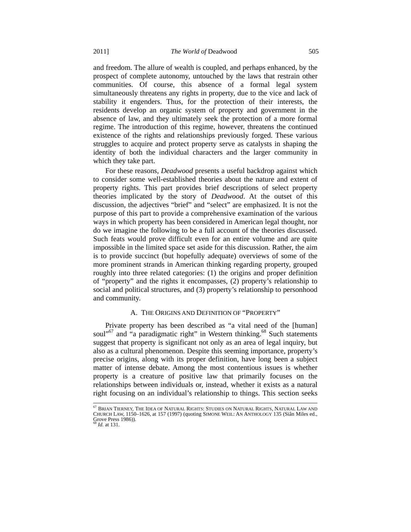and freedom. The allure of wealth is coupled, and perhaps enhanced, by the prospect of complete autonomy, untouched by the laws that restrain other communities. Of course, this absence of a formal legal system simultaneously threatens any rights in property, due to the vice and lack of stability it engenders. Thus, for the protection of their interests, the residents develop an organic system of property and government in the absence of law, and they ultimately seek the protection of a more formal regime. The introduction of this regime, however, threatens the continued existence of the rights and relationships previously forged. These various struggles to acquire and protect property serve as catalysts in shaping the identity of both the individual characters and the larger community in which they take part.

For these reasons, *Deadwood* presents a useful backdrop against which to consider some well-established theories about the nature and extent of property rights. This part provides brief descriptions of select property theories implicated by the story of *Deadwood*. At the outset of this discussion, the adjectives "brief" and "select" are emphasized. It is not the purpose of this part to provide a comprehensive examination of the various ways in which property has been considered in American legal thought, nor do we imagine the following to be a full account of the theories discussed. Such feats would prove difficult even for an entire volume and are quite impossible in the limited space set aside for this discussion. Rather, the aim is to provide succinct (but hopefully adequate) overviews of some of the more prominent strands in American thinking regarding property, grouped roughly into three related categories: (1) the origins and proper definition of "property" and the rights it encompasses, (2) property's relationship to social and political structures, and (3) property's relationship to personhood and community.

#### A. THE ORIGINS AND DEFINITION OF "PROPERTY"

Private property has been described as "a vital need of the [human] soul"<sup>67</sup> and "a paradigmatic right" in Western thinking.<sup>68</sup> Such statements suggest that property is significant not only as an area of legal inquiry, but also as a cultural phenomenon. Despite this seeming importance, property's precise origins, along with its proper definition, have long been a subject matter of intense debate. Among the most contentious issues is whether property is a creature of positive law that primarily focuses on the relationships between individuals or, instead, whether it exists as a natural right focusing on an individual's relationship to things. This section seeks

et<br><sup>67</sup> Brian Tierney, The Idea of Natural Rights: Studies on Natural Rights, Natural Law and<br>Church Law, 1150–1626, at 157 (1997) (quoting Simone Weil: An Anthology 135 (Siân Miles ed., Grove Press 1986)).

*Id.* at 131.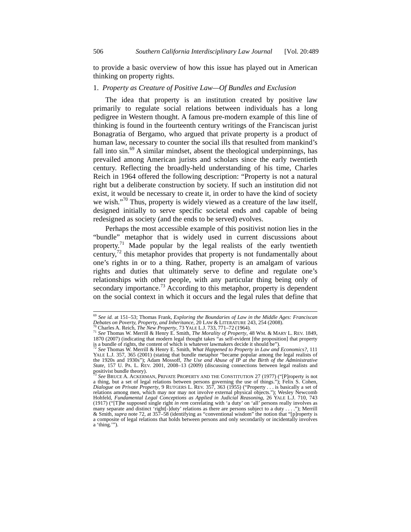to provide a basic overview of how this issue has played out in American thinking on property rights.

#### 1. *Property as Creature of Positive Law—Of Bundles and Exclusion*

The idea that property is an institution created by positive law primarily to regulate social relations between individuals has a long pedigree in Western thought. A famous pre-modern example of this line of thinking is found in the fourteenth century writings of the Franciscan jurist Bonagratia of Bergamo, who argued that private property is a product of human law, necessary to counter the social ills that resulted from mankind's fall into  $sin.69$  A similar mindset, absent the theological underpinnings, has prevailed among American jurists and scholars since the early twentieth century. Reflecting the broadly-held understanding of his time, Charles Reich in 1964 offered the following description: "Property is not a natural right but a deliberate construction by society. If such an institution did not exist, it would be necessary to create it, in order to have the kind of society we wish."<sup>70</sup> Thus, property is widely viewed as a creature of the law itself, designed initially to serve specific societal ends and capable of being redesigned as society (and the ends to be served) evolves.

Perhaps the most accessible example of this positivist notion lies in the "bundle" metaphor that is widely used in current discussions about property.<sup>71</sup> Made popular by the legal realists of the early twentieth century, $72$  this metaphor provides that property is not fundamentally about one's rights in or to a thing. Rather, property is an amalgam of various rights and duties that ultimately serve to define and regulate one's relationships with other people, with any particular thing being only of secondary importance.<sup>73</sup> According to this metaphor, property is dependent on the social context in which it occurs and the legal rules that define that

 <sup>69</sup> *See id.* at 151–53; Thomas Frank, *Exploring the Boundaries of Law in the Middle Ages: Franciscan* 

<sup>&</sup>lt;sup>70</sup> Charles A. Reich, *The New Property*, 73 YALE L.J. 733, 771–72 (1964).<br><sup>71</sup> See Thomas W. Merrill & Henry E. Smith, *The Morality of Property*, 48 WM. & MARY L. REV. 1849, 1870 (2007) (indicating that modern legal thought takes "as self-evident [the proposition] that property is a bundle of rights, the content of which is whatever lawmakers decide it should be"). 72 *See* Thomas W. Merrill & Henry E. Smith, *What Happened to Property in Law and Economics?*, 111

YALE L.J. 357, 365 (2001) (stating that bundle metaphor "became popular among the legal realists of the 1920s and 1930s"); Adam Mossoff, *The Use and Abuse of IP at the Birth of the Administrative State*, 157 U. PA. L. REV. 2001, 2008–13 (2009) (discussing connections between legal realists and positivist bundle theory).

<sup>&</sup>lt;sup>73</sup> See BRUCE A. ACKERMAN, PRIVATE PROPERTY AND THE CONSTITUTION 27 (1977) ("[P]roperty is not a thing, but a set of legal relations between persons governing the use of things."); Felix S. Cohen, Dialogue on Private Property, 9 RUTGERS L. REV. 357, 363 (1955) ("Property . . . is basically a set of relations among men, which may nor may not involve external physical objects."); Wesley Newcomb Hohfeld, *Fundamental L* (1917) ("[T]he supposed single right *in rem* correlating with 'a duty' on 'all' persons really involves as many separate and distinct 'right[-]duty' relations as there are persons subject to a duty . . . ."); Merrill & Smith, *supra* note 72, at 357–58 (identifying as "conventional wisdom" the notion that "[p]roperty is a composite of legal relations that holds between persons and only secondarily or incidentally involves a 'thing.'").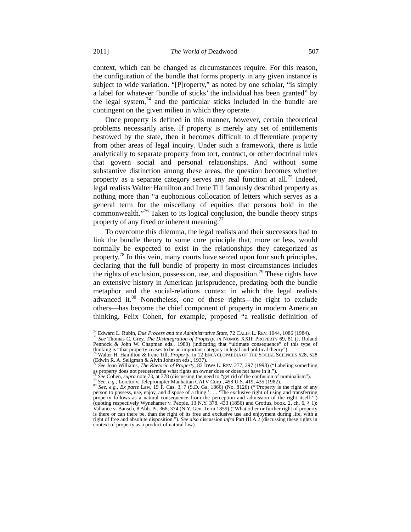context, which can be changed as circumstances require. For this reason, the configuration of the bundle that forms property in any given instance is subject to wide variation. "[P]roperty," as noted by one scholar, "is simply a label for whatever 'bundle of sticks' the individual has been granted" by the legal system, $74$  and the particular sticks included in the bundle are contingent on the given milieu in which they operate.

Once property is defined in this manner, however, certain theoretical problems necessarily arise. If property is merely any set of entitlements bestowed by the state, then it becomes difficult to differentiate property from other areas of legal inquiry. Under such a framework, there is little analytically to separate property from tort, contract, or other doctrinal rules that govern social and personal relationships. And without some substantive distinction among these areas, the question becomes whether property as a separate category serves any real function at all.<sup>75</sup> Indeed, legal realists Walter Hamilton and Irene Till famously described property as nothing more than "a euphonious collocation of letters which serves as a general term for the miscellany of equities that persons hold in the commonwealth."76 Taken to its logical conclusion, the bundle theory strips property of any fixed or inherent meaning.<sup>77</sup>

To overcome this dilemma, the legal realists and their successors had to link the bundle theory to some core principle that, more or less, would normally be expected to exist in the relationships they categorized as property.<sup>78</sup> In this vein, many courts have seized upon four such principles, declaring that the full bundle of property in most circumstances includes the rights of exclusion, possession, use, and disposition.<sup>79</sup> These rights have an extensive history in American jurisprudence, predating both the bundle metaphor and the social-relations context in which the legal realists advanced it.<sup>80</sup> Nonetheless, one of these rights—the right to exclude others—has become the chief component of property in modern American thinking. Felix Cohen, for example, proposed "a realistic definition of

<sup>&</sup>lt;sup>74</sup> Edward L. Rubin, *Due Process and the Administrative State*, 72 CALIF. L. REV. 1044, 1086 (1984).<br><sup>75</sup> *See* Thomas C. Grey, *The Disintegration of Property*, *in* NOMOS XXII: PROPERTY 69, 81 (J. Roland

Pennock & John W. Chapman eds., 1980) (indicating that "ultimate consequence" of this type of thinking is "that property ceases to be an important category in legal and political theory").<br><sup>76</sup> Walter H. Hamilton & Irene T

<sup>&</sup>lt;sup>76</sup> Walter H. Hamilton & Irene Till, *Property*, in 12 ENCYCLOPAEDIA OF THE SOCIAL SCIENCES 528, 528<br>(Edwin R. A. Seligman & Alvin Johnson eds., 1937).

<sup>&</sup>lt;sup>77</sup> See Joan Williams, *The Rhetoric of Property*, 83 IOWA L. REV. 277, 297 (1998) ("Labeling something as property does not predetermine what rights an owner does or does not have in it.").

as property sous note 73, at 378 (discussing the need to "get rid of the confusion of nominalism").<br><sup>79</sup> See, e.g., Loretto v. Teleprompter Manhattan CATV Corp., 458 U.S. 419, 435 (1982).

person to possess, use, enjoy, and dispose of a thing.' . . . 'The exclusive right of using and transferring property follows as a natural consequence from the perception and admission of the right itself.'") (quoting respectively Wynehamer v. People, 13 N.Y. 378, 433 (1856) and Grotius, book. 2, ch. 6, § 1); Vallance v. Bausch, 8 Abb. Pr. 368, 374 (N.Y. Gen. Term 1859) ("What other or further right of property is there or can there be, than the right of its free and exclusive use and enjoyment during life, with a right of free and absolute disposition."). *See also* discussion *infra* Part III.A.2 (discussing these rights in context of property as a product of natural law).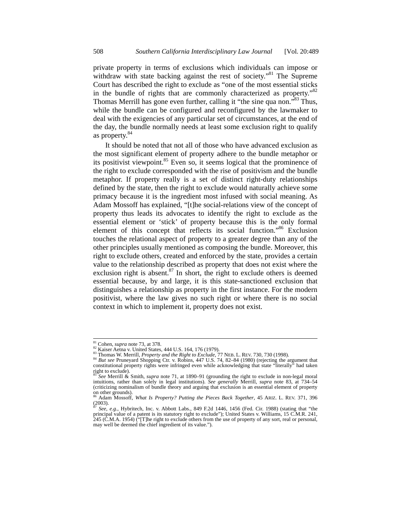private property in terms of exclusions which individuals can impose or withdraw with state backing against the rest of society.<sup>81</sup> The Supreme Court has described the right to exclude as "one of the most essential sticks in the bundle of rights that are commonly characterized as property."82 Thomas Merrill has gone even further, calling it "the sine qua non."<sup>83</sup> Thus, while the bundle can be configured and reconfigured by the lawmaker to deal with the exigencies of any particular set of circumstances, at the end of the day, the bundle normally needs at least some exclusion right to qualify as property.<sup>84</sup>

It should be noted that not all of those who have advanced exclusion as the most significant element of property adhere to the bundle metaphor or its positivist viewpoint. $85$  Even so, it seems logical that the prominence of the right to exclude corresponded with the rise of positivism and the bundle metaphor. If property really is a set of distinct right-duty relationships defined by the state, then the right to exclude would naturally achieve some primacy because it is the ingredient most infused with social meaning. As Adam Mossoff has explained, "[t]he social-relations view of the concept of property thus leads its advocates to identify the right to exclude as the essential element or 'stick' of property because this is the only formal element of this concept that reflects its social function."86 Exclusion touches the relational aspect of property to a greater degree than any of the other principles usually mentioned as composing the bundle. Moreover, this right to exclude others, created and enforced by the state, provides a certain value to the relationship described as property that does not exist where the exclusion right is absent. $87$  In short, the right to exclude others is deemed essential because, by and large, it is this state-sanctioned exclusion that distinguishes a relationship as property in the first instance. For the modern positivist, where the law gives no such right or where there is no social context in which to implement it, property does not exist.

<sup>&</sup>lt;sup>81</sup> Cohen, *supra* note 73, at 378.<br><sup>82</sup> Kaiser Aetna v. United States, 444 U.S. 164, 176 (1979).<br><sup>83</sup> Thomas W. Merrill, *Property and the Right to Exclude*, 77 NEB. L. REV. 730, 730 (1998).<br><sup>84</sup> But see Pruneyard Shopp right to exclude).

<sup>&</sup>lt;sup>85</sup> See Merrill & Smith, *supra* note 71, at 1890–91 (grounding the right to exclude in non-legal moral intuitions, rather than solely in legal institutions). See generally Merrill, *supra* note 83, at 734–54 (criticizing nominalism of bundle theory and arguing that exclusion is an essential element of property on other grounds).

<sup>86</sup> Adam Mossoff, *What Is Property? Putting the Pieces Back Together*, 45 ARIZ. L. REV. 371, 396  $(2003)$ .

<sup>87</sup> *See, e.g.*, Hybritech, Inc. v. Abbott Labs., 849 F.2d 1446, 1456 (Fed. Cir. 1988) (stating that "the principal value of a patent is its statutory right to exclude"); United States v. Williams, 15 C.M.R. 241, 245 (C.M.A. 1954) ("[T]he right to exclude others from the use of property of any sort, real or personal, may well be deemed the chief ingredient of its value.").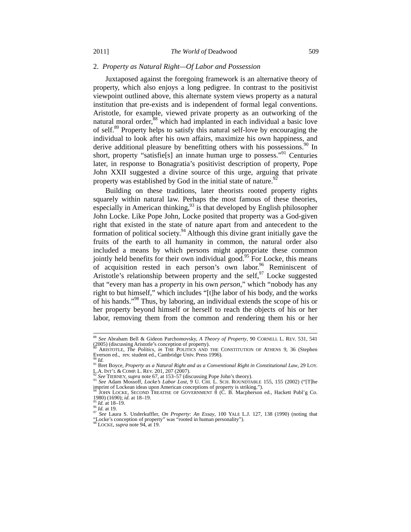#### 2. *Property as Natural Right—Of Labor and Possession*

Juxtaposed against the foregoing framework is an alternative theory of property, which also enjoys a long pedigree. In contrast to the positivist viewpoint outlined above, this alternate system views property as a natural institution that pre-exists and is independent of formal legal conventions. Aristotle, for example, viewed private property as an outworking of the natural moral order,<sup>88</sup> which had implanted in each individual a basic love of self.89 Property helps to satisfy this natural self-love by encouraging the individual to look after his own affairs, maximize his own happiness, and derive additional pleasure by benefitting others with his possessions.<sup>90</sup> In short, property "satisfie[s] an innate human urge to possess."<sup>91</sup> Centuries later, in response to Bonagratia's positivist description of property, Pope John XXII suggested a divine source of this urge, arguing that private property was established by God in the initial state of nature. $9$ 

Building on these traditions, later theorists rooted property rights squarely within natural law. Perhaps the most famous of these theories, especially in American thinking,  $93$  is that developed by English philosopher John Locke. Like Pope John, Locke posited that property was a God-given right that existed in the state of nature apart from and antecedent to the formation of political society.<sup>94</sup> Although this divine grant initially gave the fruits of the earth to all humanity in common, the natural order also included a means by which persons might appropriate these common jointly held benefits for their own individual good.<sup>95</sup> For Locke, this means of acquisition rested in each person's own labor.<sup>96</sup> Reminiscent of Aristotle's relationship between property and the self,  $\frac{97}{2}$  Locke suggested that "every man has a *property* in his own *person*," which "nobody has any right to but himself," which includes "[t]he labor of his body, and the works of his hands."98 Thus, by laboring, an individual extends the scope of his or her property beyond himself or herself to reach the objects of his or her labor, removing them from the common and rendering them his or her

 <sup>88</sup> *See* Abraham Bell & Gideon Parchomovsky, *A Theory of Property*, 90 CORNELL L. REV. 531, 541 (2005) (discussing Aristotle's conception of property). 89 ARISTOTLE, *The Politics*, *in* THE POLITICS AND THE CONSTITUTION OF ATHENS 9, 36 (Stephen

Everson ed., rev. student ed., Cambridge Univ. Press 1996).<br><sup>90</sup> Id.

<sup>&</sup>lt;sup>91</sup> Bret Boyce, *Property as a Natural Right and as a Conventional Right in Constitutional Law*, 29 LOY.<br>L.A. INT'L & COMP. L. REV. 201, 207 (2007).<br><sup>92</sup> See TIEDNEY supposed to 27 (2007).

 $\frac{62.73}{92}$  See TIERNEY, supra note 67, at 153-57 (discussing Pope John's theory).<br><sup>93</sup> See TIERNEY, supra note 67, at 153-57 (discussing Pope John's theory).

E Audit in the South Lockean ideas upon American conceptions of property is striking.").<br>
<sup>94</sup> JOHN LOCKE, SECOND TREATISE OF GOVERNMENT 8 (C. B. Macpherson ed., Hackett Publ'g Co.<br>
1980) (1690); *id.* at 18–19.

<sup>1980) (1690);</sup> *id.* at 18–19. 95 *Id.* at 18–19. 96 *Id.* at 19. 97 *See* Laura S. Underkuffler, *On Property: An Essay*, 100 YALE L.J. 127, 138 (1990) (noting that "Locke's conception of property" was "rooted in human personality"). 98 LOCKE, *supra* note 94, at 19.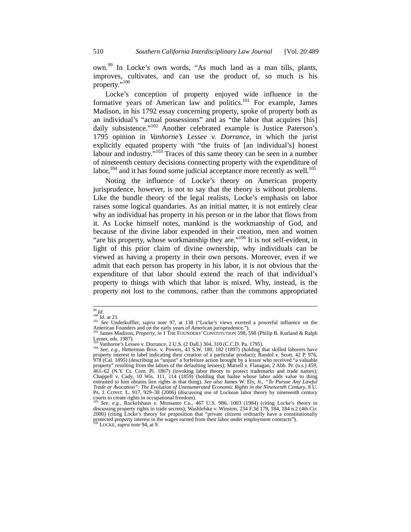own.99 In Locke's own words, "As much land as a man tills, plants, improves, cultivates, and can use the product of, so much is his property."<sup>100</sup>

Locke's conception of property enjoyed wide influence in the formative years of American law and politics.<sup>101</sup> For example, James Madison, in his 1792 essay concerning property, spoke of property both as an individual's "actual possessions" and as "the labor that acquires [his] daily subsistence."<sup>102</sup> Another celebrated example is Justice Paterson's 1795 opinion in *Vanhorne's Lessee v. Dorrance*, in which the jurist explicitly equated property with "the fruits of [an individual's] honest labour and industry. $103$  Traces of this same theory can be seen in a number of nineteenth century decisions connecting property with the expenditure of labor, $104$  and it has found some judicial acceptance more recently as well.<sup>105</sup>

Noting the influence of Locke's theory on American property jurisprudence, however, is not to say that the theory is without problems. Like the bundle theory of the legal realists, Locke's emphasis on labor raises some logical quandaries. As an initial matter, it is not entirely clear why an individual has property in his person or in the labor that flows from it. As Locke himself notes, mankind is the workmanship of God, and because of the divine labor expended in their creation, men and women "are his property, whose workmanship they are."<sup>106</sup> It is not self-evident, in light of this prior claim of divine ownership, why individuals can be viewed as having a property in their own persons. Moreover, even if we admit that each person has property in his labor, it is not obvious that the expenditure of that labor should extend the reach of that individual's property to things with which that labor is mixed. Why, instead, is the property not lost to the commons, rather than the commons appropriated

<sup>&</sup>lt;sup>99</sup> Id.<br><sup>100</sup> Id. at 21.<br><sup>101</sup> See Underkuffler, *supra* note 97, at 138 ("Locke's views exerted a powerful influence on the<br>American Founders and on the early years of American jurisprudence.").<br><sup>102</sup> James Madison, *Pro* 

Lerner, eds. 1987).<br>
<sup>103</sup> Vanhorne's Lessee v. Dorrance, 2 U.S. (2 Dall.) 304, 310 (C.C.D. Pa. 1795).

<sup>&</sup>lt;sup>104</sup> See, e.g., Hetterman Bros. v. Powers, 43 S.W. 180, 182 (1897) (holding that skilled laborers have property interest in label indicating their creation of a particular product); Randol v. Scott, 42 P. 976, 978 (Cal. 1895) (describing as "unjust" a forfeiture action brought by a lessor who received "a valuable property" resulting from the labors of the defaulting lessees); Matsell v. Flanagan, 2 Abb. Pr. (n.s.) 459, 461–62 (N.Y. Ct. Com. Pl. 1867) (invoking labor theory to protect trademarks and trade names); Chappell v. Cady, 10 Wis. 111, 114 (1859) (holding that bailee whose labor adds value to thing entrusted to him obtains lien rights in that thing). *See also* James W. Ely, Jr., *"To Pursue Any Lawful Trade or Avocation": The Evolution of Unenumerated Economic Rights in the Nineteenth Century*, 8 U. PA. J. CONST. L. 917, 929–38 (2006) (discussing use of Lockean labor theory by nineteenth century courts to create rights in occupational freedom).

<sup>105</sup> *See, e.g.*, Ruckelshaus v. Monsanto Co., 467 U.S. 986, 1003 (1984) (citing Locke's theory in discussing property rights in trade secrets); Washlefske v. Winston, 234 F.3d 179, 184, 184 n.2 (4th Cir. 2000) (citing Locke's theory for proposition that "private citizens ordinarily have a constitutionally protected property interest in the wages earned from their labor under employment contracts"). 106 LOCKE, *supra* note 94, at 9.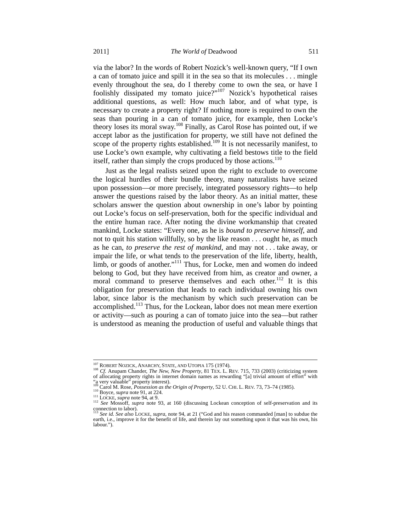via the labor? In the words of Robert Nozick's well-known query, "If I own a can of tomato juice and spill it in the sea so that its molecules . . . mingle evenly throughout the sea, do I thereby come to own the sea, or have I foolishly dissipated my tomato juice?"<sup>107</sup> Nozick's hypothetical raises additional questions, as well: How much labor, and of what type, is necessary to create a property right? If nothing more is required to own the seas than pouring in a can of tomato juice, for example, then Locke's theory loses its moral sway.108 Finally, as Carol Rose has pointed out, if we accept labor as the justification for property, we still have not defined the scope of the property rights established.<sup>109</sup> It is not necessarily manifest, to use Locke's own example, why cultivating a field bestows title to the field itself, rather than simply the crops produced by those actions. $110$ 

Just as the legal realists seized upon the right to exclude to overcome the logical hurdles of their bundle theory, many naturalists have seized upon possession—or more precisely, integrated possessory rights—to help answer the questions raised by the labor theory. As an initial matter, these scholars answer the question about ownership in one's labor by pointing out Locke's focus on self-preservation, both for the specific individual and the entire human race. After noting the divine workmanship that created mankind, Locke states: "Every one, as he is *bound to preserve himself*, and not to quit his station willfully, so by the like reason . . . ought he, as much as he can, *to preserve the rest of mankind*, and may not . . . take away, or impair the life, or what tends to the preservation of the life, liberty, health, limb, or goods of another."<sup>111</sup> Thus, for Locke, men and women do indeed belong to God, but they have received from him, as creator and owner, a moral command to preserve themselves and each other.<sup>112</sup> It is this obligation for preservation that leads to each individual owning his own labor, since labor is the mechanism by which such preservation can be accomplished.<sup>113</sup> Thus, for the Lockean, labor does not mean mere exertion or activity—such as pouring a can of tomato juice into the sea—but rather is understood as meaning the production of useful and valuable things that

<sup>&</sup>lt;sup>107</sup> ROBERT NOZICK, ANARCHY, STATE, AND UTOPIA 175 (1974).<br><sup>108</sup> *Cf.* Anupam Chander, *The New, New Property*, 81 TEX. L. REV. 715, 733 (2003) (criticizing system of allocating property rights in internet domain names as rewarding "[a] trivial amount of effort" with "a very valuable" property interest).

<sup>10</sup> Boyce, supra note 91, at 224.<br>
<sup>111</sup> LOCKE, supra note 94, at 9.<br>
<sup>111</sup> LOCKE, supra note 94, at 9.<br>
<sup>112</sup> See Mossoff, supra note 93, at 160 (discussing Lockean conception of self-preservation and its connection to labor).

<sup>113</sup> *See id. See also* LOCKE, *supra*, note 94, at 21 ("God and his reason commanded [man] to subdue the earth, i.e., improve it for the benefit of life, and therein lay out something upon it that was his own, his labour.").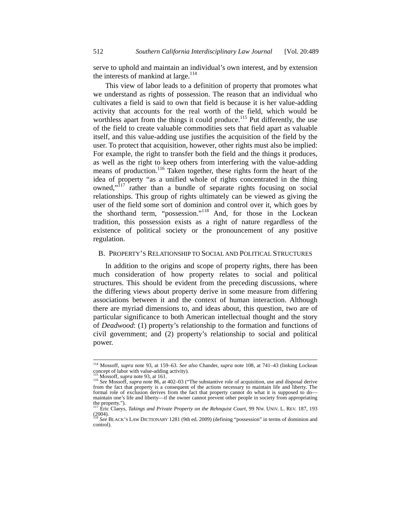serve to uphold and maintain an individual's own interest, and by extension the interests of mankind at large.<sup>114</sup>

This view of labor leads to a definition of property that promotes what we understand as rights of possession. The reason that an individual who cultivates a field is said to own that field is because it is her value-adding activity that accounts for the real worth of the field, which would be worthless apart from the things it could produce.<sup>115</sup> Put differently, the use of the field to create valuable commodities sets that field apart as valuable itself, and this value-adding use justifies the acquisition of the field by the user. To protect that acquisition, however, other rights must also be implied: For example, the right to transfer both the field and the things it produces, as well as the right to keep others from interfering with the value-adding means of production.<sup>116</sup> Taken together, these rights form the heart of the idea of property "as a unified whole of rights concentrated in the thing owned,"<sup>117</sup> rather than a bundle of separate rights focusing on social relationships. This group of rights ultimately can be viewed as giving the user of the field some sort of dominion and control over it, which goes by the shorthand term, "possession."118 And, for those in the Lockean tradition, this possession exists as a right of nature regardless of the existence of political society or the pronouncement of any positive regulation.

#### B. PROPERTY'S RELATIONSHIP TO SOCIAL AND POLITICAL STRUCTURES

In addition to the origins and scope of property rights, there has been much consideration of how property relates to social and political structures. This should be evident from the preceding discussions, where the differing views about property derive in some measure from differing associations between it and the context of human interaction. Although there are myriad dimensions to, and ideas about, this question, two are of particular significance to both American intellectual thought and the story of *Deadwood*: (1) property's relationship to the formation and functions of civil government; and (2) property's relationship to social and political power.

 <sup>114</sup> Mossoff, *supra* note 93, at 159–63. *See also* Chander, *supra* note 108, at 741–43 (linking Lockean concept of labor with value-adding activity).<br><sup>115</sup> Mossoff, *supra* note 93, at 161.

<sup>115</sup> Mossoff, *supra* note 93, at 161. <sup>116</sup> *See* Mossoff, *supra* note 86, at 402–03 ("The substantive role of acquisition, use and disposal derive from the fact that property is a consequent of the actions necessary to maintain life and liberty. The formal role of exclusion derives from the fact that property cannot do what it is supposed to do maintain one's life and liberty—if the owner cannot prevent other people in society from appropriating

the property.").<br><sup>117</sup> Eric Claeys, *Takings and Private Property on the Rehnquist Court*, 99 Nw. UNIV. L. REV. 187, 193 (2004). <sup>118</sup> *See* BLACK'S LAW DICTIONARY 1281 (9th ed. 2009) (defining "possession" in terms of dominion and

control).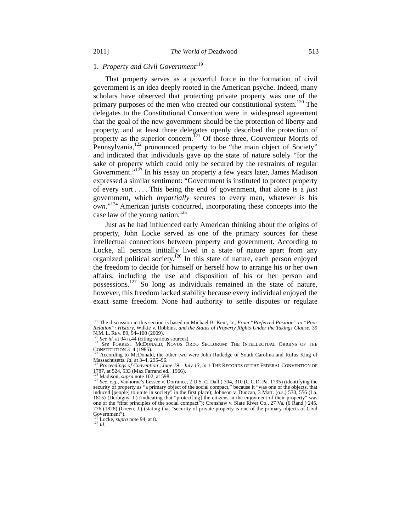## 1. Property and Civil Government<sup>119</sup>

That property serves as a powerful force in the formation of civil government is an idea deeply rooted in the American psyche. Indeed, many scholars have observed that protecting private property was one of the primary purposes of the men who created our constitutional system.<sup>120</sup> The delegates to the Constitutional Convention were in widespread agreement that the goal of the new government should be the protection of liberty and property, and at least three delegates openly described the protection of property as the superior concern.<sup>121</sup> Of those three, Gouverneur Morris of Pennsylvania, $122$  pronounced property to be "the main object of Society" and indicated that individuals gave up the state of nature solely "for the sake of property which could only be secured by the restraints of regular Government."<sup>123</sup> In his essay on property a few years later, James Madison expressed a similar sentiment: "Government is instituted to protect property of every sort . . . . This being the end of government, that alone is a *just* government, which *impartially* secures to every man, whatever is his *own*."124 American jurists concurred, incorporating these concepts into the case law of the young nation.<sup>125</sup>

Just as he had influenced early American thinking about the origins of property, John Locke served as one of the primary sources for these intellectual connections between property and government. According to Locke, all persons initially lived in a state of nature apart from any organized political society.<sup>126</sup> In this state of nature, each person enjoyed the freedom to decide for himself or herself how to arrange his or her own affairs, including the use and disposition of his or her person and possessions.<sup>127</sup> So long as individuals remained in the state of nature, however, this freedom lacked stability because every individual enjoyed the exact same freedom. None had authority to settle disputes or regulate

126 Locke, *supra* note 94, at 8. 127 *Id.*

 <sup>119</sup> The discussion in this section is based on Michael B. Kent, Jr., *From "Preferred Position" to "Poor Relation": History, Wilkie v. Robbins, and the Status of Property Rights Under the Takings Clause, 39*<br>N.M. L. REV. 89, 94–100 (2009).

<sup>&</sup>lt;sup>120</sup> *See id.* at 94 n.44 (citing various sources).<br><sup>121</sup> *See id.* at 94 n.44 (citing various sources).<br>CONSTITUTION 3–4 (1985).

<sup>&</sup>lt;sup>122</sup> According to McDonald, the other two were John Rutledge of South Carolina and Rufus King of Massachusetts. *Id.* at 3–4, 295–96.<br>
<sup>123</sup> Dave Discounting Carolina *Inc. Inc. Inc. Inc. Litter Discours Carolina* 

Proceedings of Convention, June 19-July 13, in 1 THE RECORDS OF THE FEDERAL CONVENTION OF 1787, at 524, 533 (Max Farrand ed., 1966).<br> $124$  Modison sum

<sup>124</sup> Madison, *supra* note 102, at 598.<br><sup>125</sup> *See, e.g.*, Vanhorne's Lessee v. Dorrance, 2 U.S. (2 Dall.) 304, 310 (C.C.D. Pa. 1795) (identifying the security of property as "a primary object of the social compact," because it "was one of the objects, that induced [people] to unite in society" in the first place); Johnson v. Duncan, 3 Mart. (o.s.) 530, 556 (La. 1815) (Derbigny, J.) (indicating that "protect[ing] the citizens in the enjoyment of their property" was one of the "first principles of the social compact"); Crenshaw v. Slate River Co., 27 Va. (6 Rand.) 245, 276 (1828) (Green, J.) (stating that "security of private property is one of the primary objects of Civil Government").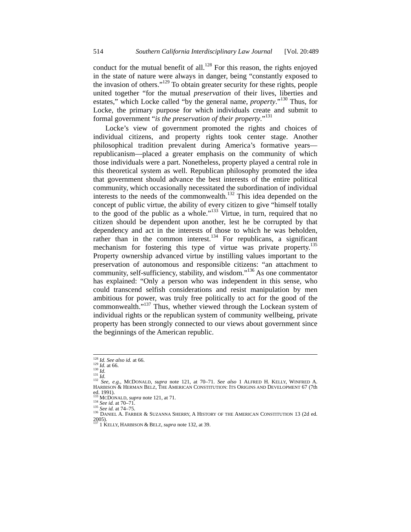conduct for the mutual benefit of all.<sup>128</sup> For this reason, the rights enjoyed in the state of nature were always in danger, being "constantly exposed to the invasion of others."<sup>129</sup> To obtain greater security for these rights, people united together "for the mutual *preservation* of their lives, liberties and estates," which Locke called "by the general name, *property*."130 Thus, for Locke, the primary purpose for which individuals create and submit to formal government "*is the preservation of their property*."<sup>131</sup>

Locke's view of government promoted the rights and choices of individual citizens, and property rights took center stage. Another philosophical tradition prevalent during America's formative years republicanism—placed a greater emphasis on the community of which those individuals were a part. Nonetheless, property played a central role in this theoretical system as well. Republican philosophy promoted the idea that government should advance the best interests of the entire political community, which occasionally necessitated the subordination of individual interests to the needs of the commonwealth. $132$  This idea depended on the concept of public virtue, the ability of every citizen to give "himself totally to the good of the public as a whole."<sup>133</sup> Virtue, in turn, required that no citizen should be dependent upon another, lest he be corrupted by that dependency and act in the interests of those to which he was beholden, rather than in the common interest.<sup>134</sup> For republicans, a significant mechanism for fostering this type of virtue was private property.<sup>135</sup> Property ownership advanced virtue by instilling values important to the preservation of autonomous and responsible citizens: "an attachment to community, self-sufficiency, stability, and wisdom."<sup>136</sup> As one commentator has explained: "Only a person who was independent in this sense, who could transcend selfish considerations and resist manipulation by men ambitious for power, was truly free politically to act for the good of the commonwealth."<sup>137</sup> Thus, whether viewed through the Lockean system of individual rights or the republican system of community wellbeing, private property has been strongly connected to our views about government since the beginnings of the American republic.

<sup>1&</sup>lt;sup>28</sup> *Id. See also id.* at 66. 1<sup>29</sup> *Id.* at 66. 130 *Id.* at 66. 130 *Id.* at 66. 130 *Id.*<br><sup>130</sup> *Id.*<br><sup>131</sup> *See, e.g.*, MCDONALD, *supra* note 121, at 70–71. *See also* 1 ALFRED H. KELLY, WINFRED A. HARBISON & HERMAN BELZ, THE AMERICAN CONSTITUTION: ITS ORIGINS AND DEVELOPMENT 67 (7th ed. 1991).<br> $133$  MCDONALD, *supra* note 121, at 71.

<sup>134</sup> *See id.* at 70–71.<br>
<sup>134</sup> *See id.* at 70–71.<br>
<sup>135</sup> *See id.* at 74–75.<br>
<sup>136</sup> DANIEL A. FARBER & SUZANNA SHERRY, A HISTORY OF THE AMERICAN CONSTITUTION 13 (2d ed. 2005). 137 1 KELLY, HARBISON & BELZ, *supra* note 132, at 39.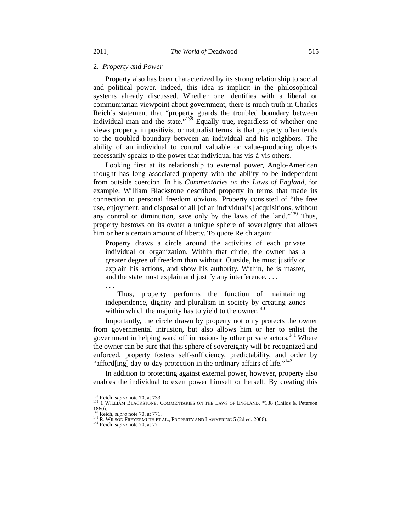#### 2. *Property and Power*

Property also has been characterized by its strong relationship to social and political power. Indeed, this idea is implicit in the philosophical systems already discussed. Whether one identifies with a liberal or communitarian viewpoint about government, there is much truth in Charles Reich's statement that "property guards the troubled boundary between individual man and the state."<sup>138</sup> Equally true, regardless of whether one views property in positivist or naturalist terms, is that property often tends to the troubled boundary between an individual and his neighbors. The ability of an individual to control valuable or value-producing objects necessarily speaks to the power that individual has vis-à-vis others.

Looking first at its relationship to external power, Anglo-American thought has long associated property with the ability to be independent from outside coercion. In his *Commentaries on the Laws of England*, for example, William Blackstone described property in terms that made its connection to personal freedom obvious. Property consisted of "the free use, enjoyment, and disposal of all [of an individual's] acquisitions, without any control or diminution, save only by the laws of the land."<sup>139</sup> Thus, property bestows on its owner a unique sphere of sovereignty that allows him or her a certain amount of liberty. To quote Reich again:

Property draws a circle around the activities of each private individual or organization. Within that circle, the owner has a greater degree of freedom than without. Outside, he must justify or explain his actions, and show his authority. Within, he is master, and the state must explain and justify any interference. . . .

 Thus, property performs the function of maintaining independence, dignity and pluralism in society by creating zones within which the majority has to yield to the owner.<sup>140</sup>

Importantly, the circle drawn by property not only protects the owner from governmental intrusion, but also allows him or her to enlist the government in helping ward off intrusions by other private actors.<sup>141</sup> Where the owner can be sure that this sphere of sovereignty will be recognized and enforced, property fosters self-sufficiency, predictability, and order by "afford[ing] day-to-day protection in the ordinary affairs of life."<sup>142</sup>

In addition to protecting against external power, however, property also enables the individual to exert power himself or herself. By creating this

. . .

<sup>&</sup>lt;sup>138</sup> Reich, *supra* note 70, at 733. COMMENTARIES ON THE LAWS OF ENGLAND, \*138 (Childs & Peterson 1<sup>39</sup> 1 WILLIAM BLACKSTONE, COMMENTARIES ON THE LAWS OF ENGLAND, \*138 (Childs & Peterson 1860).<br>
<sup>140</sup> Reich, *supra* note 70, at 771.

<sup>141</sup> R. WILSON FREYERMUTH ET AL., PROPERTY AND LAWYERING 5 (2d ed. 2006). <sup>142</sup> Reich, *supra* note 70, at 771.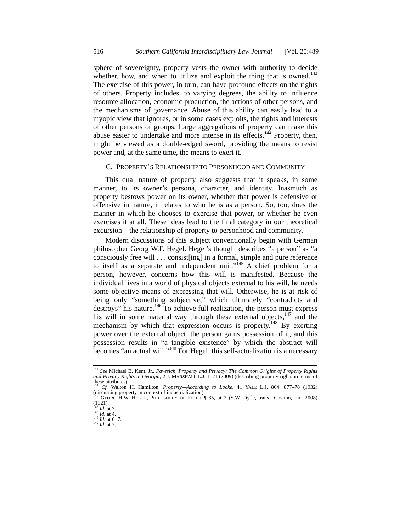sphere of sovereignty, property vests the owner with authority to decide whether, how, and when to utilize and exploit the thing that is owned. $^{143}$ The exercise of this power, in turn, can have profound effects on the rights of others. Property includes, to varying degrees, the ability to influence resource allocation, economic production, the actions of other persons, and the mechanisms of governance. Abuse of this ability can easily lead to a myopic view that ignores, or in some cases exploits, the rights and interests of other persons or groups. Large aggregations of property can make this abuse easier to undertake and more intense in its effects.<sup>144</sup> Property, then, might be viewed as a double-edged sword, providing the means to resist power and, at the same time, the means to exert it.

#### C. PROPERTY'S RELATIONSHIP TO PERSONHOOD AND COMMUNITY

This dual nature of property also suggests that it speaks, in some manner, to its owner's persona, character, and identity. Inasmuch as property bestows power on its owner, whether that power is defensive or offensive in nature, it relates to who he is as a person. So, too, does the manner in which he chooses to exercise that power, or whether he even exercises it at all. These ideas lead to the final category in our theoretical excursion—the relationship of property to personhood and community.

Modern discussions of this subject conventionally begin with German philosopher Georg W.F. Hegel. Hegel's thought describes "a person" as "a consciously free will . . . consist[ing] in a formal, simple and pure reference to itself as a separate and independent unit."<sup>145</sup> A chief problem for a person, however, concerns how this will is manifested. Because the individual lives in a world of physical objects external to his will, he needs some objective means of expressing that will. Otherwise, he is at risk of being only "something subjective," which ultimately "contradicts and destroys" his nature.<sup>146</sup> To achieve full realization, the person must express his will in some material way through these external objects, $147$  and the mechanism by which that expression occurs is property.<sup>148</sup> By exerting power over the external object, the person gains possession of it, and this possession results in "a tangible existence" by which the abstract will becomes "an actual will."149 For Hegel, this self-actualization is a necessary

 <sup>143</sup> *See* Michael B. Kent, Jr., *Pavesich, Property and Privacy: The Common Origins of Property Rights and Privacy Rights in Georgia*, 2 J. MARSHALL L.J. 1, 21 (2009) (describing property rights in terms of these attributes).

<sup>144</sup> *Cf.* Walton H. Hamilton, *Property—According to Locke*, 41 YALE L.J. 864, 877–78 (1932) (discussing property in context of industrialization). 145 GEORG H.W. HEGEL, PHILOSOPHY OF RIGHT ¶ 35, at 2 (S.W. Dyde, trans., Cosimo, Inc. 2008)

 $(1821)$ .<br><sup>146</sup> *Id.* at 3.<br><sup>147</sup> *Id.* at 4.

<sup>146</sup> *Id.* at 3. 147 *Id.* at 4. 148 *Id.* at 6–7. 149 *Id.* at 7.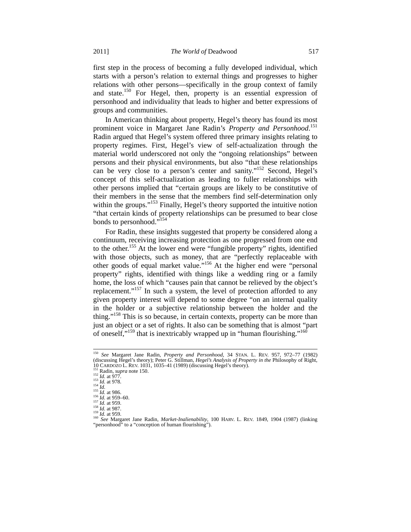first step in the process of becoming a fully developed individual, which starts with a person's relation to external things and progresses to higher relations with other persons—specifically in the group context of family and state.150 For Hegel, then, property is an essential expression of personhood and individuality that leads to higher and better expressions of groups and communities.

In American thinking about property, Hegel's theory has found its most prominent voice in Margaret Jane Radin's *Property and Personhood*. 151 Radin argued that Hegel's system offered three primary insights relating to property regimes. First, Hegel's view of self-actualization through the material world underscored not only the "ongoing relationships" between persons and their physical environments, but also "that these relationships can be very close to a person's center and sanity."<sup>152</sup> Second, Hegel's concept of this self-actualization as leading to fuller relationships with other persons implied that "certain groups are likely to be constitutive of their members in the sense that the members find self-determination only within the groups."<sup>153</sup> Finally, Hegel's theory supported the intuitive notion "that certain kinds of property relationships can be presumed to bear close bonds to personhood."<sup>154</sup>

For Radin, these insights suggested that property be considered along a continuum, receiving increasing protection as one progressed from one end to the other.<sup>155</sup> At the lower end were "fungible property" rights, identified with those objects, such as money, that are "perfectly replaceable with other goods of equal market value."156 At the higher end were "personal property" rights, identified with things like a wedding ring or a family home, the loss of which "causes pain that cannot be relieved by the object's replacement."<sup>157</sup> In such a system, the level of protection afforded to any given property interest will depend to some degree "on an internal quality in the holder or a subjective relationship between the holder and the thing."<sup>158</sup> This is so because, in certain contexts, property can be more than just an object or a set of rights. It also can be something that is almost "part of oneself."<sup>159</sup> that is inextricably wrapped up in "human flourishing."<sup>160</sup>

 <sup>150</sup> *See* Margaret Jane Radin, *Property and Personhood*, 34 STAN. L. REV. 957, 972–77 (1982) (discussing Hegel's theory); Peter G. Stillman, *Hegel's Analysis of Property in the* Philosophy of Right, 10<br>
10 CARDOZO L. REV. 1031, 1035–41 (1989) (discussing Hegel's theory).<br>
<sup>151</sup> Radin, *supra* note 150.<br>
<sup>152</sup> *I* 

<sup>&</sup>lt;sup>160</sup> See Margaret Jane Radin, *Market-Inalienability*, 100 HARV. L. REV. 1849, 1904 (1987) (linking "personhood" to a "conception of human flourishing").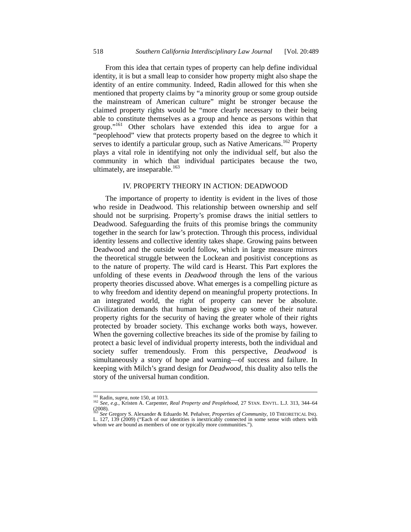From this idea that certain types of property can help define individual identity, it is but a small leap to consider how property might also shape the identity of an entire community. Indeed, Radin allowed for this when she mentioned that property claims by "a minority group or some group outside the mainstream of American culture" might be stronger because the claimed property rights would be "more clearly necessary to their being able to constitute themselves as a group and hence as persons within that group."<sup>161</sup> Other scholars have extended this idea to argue for a "peoplehood" view that protects property based on the degree to which it serves to identify a particular group, such as Native Americans.<sup>162</sup> Property plays a vital role in identifying not only the individual self, but also the community in which that individual participates because the two, ultimately, are inseparable.<sup>163</sup>

#### IV. PROPERTY THEORY IN ACTION: DEADWOOD

The importance of property to identity is evident in the lives of those who reside in Deadwood. This relationship between ownership and self should not be surprising. Property's promise draws the initial settlers to Deadwood. Safeguarding the fruits of this promise brings the community together in the search for law's protection. Through this process, individual identity lessens and collective identity takes shape. Growing pains between Deadwood and the outside world follow, which in large measure mirrors the theoretical struggle between the Lockean and positivist conceptions as to the nature of property. The wild card is Hearst. This Part explores the unfolding of these events in *Deadwood* through the lens of the various property theories discussed above. What emerges is a compelling picture as to why freedom and identity depend on meaningful property protections. In an integrated world, the right of property can never be absolute. Civilization demands that human beings give up some of their natural property rights for the security of having the greater whole of their rights protected by broader society. This exchange works both ways, however. When the governing collective breaches its side of the promise by failing to protect a basic level of individual property interests, both the individual and society suffer tremendously. From this perspective, *Deadwood* is simultaneously a story of hope and warning—of success and failure. In keeping with Milch's grand design for *Deadwood*, this duality also tells the story of the universal human condition.

<sup>&</sup>lt;sup>161</sup> Radin, *supra*, note 150, at 1013.<br><sup>162</sup> *See, e.g.*, Kristen A. Carpenter, *Real Property and Peoplehood*, 27 STAN. ENVTL. L.J. 313, 344–64  $(2008)$ .

<sup>163</sup> *See* Gregory S. Alexander & Eduardo M. Peñalver, *Properties of Community*, 10 THEORETICAL INQ. L. 127, 139 (2009) ("Each of our identities is inextricably connected in some sense with others with whom we are bound as members of one or typically more communities.").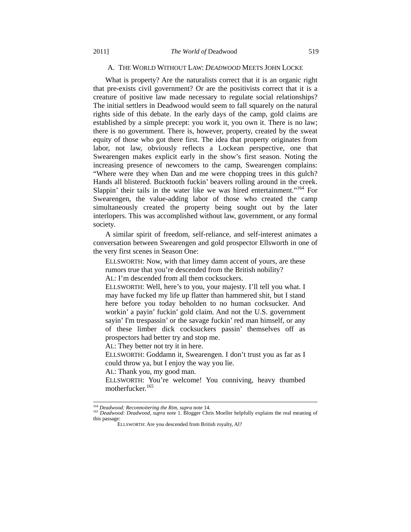#### A. THE WORLD WITHOUT LAW: *DEADWOOD* MEETS JOHN LOCKE

What is property? Are the naturalists correct that it is an organic right that pre-exists civil government? Or are the positivists correct that it is a creature of positive law made necessary to regulate social relationships? The initial settlers in Deadwood would seem to fall squarely on the natural rights side of this debate. In the early days of the camp, gold claims are established by a simple precept: you work it, you own it. There is no law; there is no government. There is, however, property, created by the sweat equity of those who got there first. The idea that property originates from labor, not law, obviously reflects a Lockean perspective, one that Swearengen makes explicit early in the show's first season. Noting the increasing presence of newcomers to the camp, Swearengen complains: "Where were they when Dan and me were chopping trees in this gulch? Hands all blistered. Bucktooth fuckin' beavers rolling around in the creek. Slappin' their tails in the water like we was hired entertainment."<sup>164</sup> For Swearengen, the value-adding labor of those who created the camp simultaneously created the property being sought out by the later interlopers. This was accomplished without law, government, or any formal society.

A similar spirit of freedom, self-reliance, and self-interest animates a conversation between Swearengen and gold prospector Ellsworth in one of the very first scenes in Season One:

ELLSWORTH: Now, with that limey damn accent of yours, are these rumors true that you're descended from the British nobility?

AL: I'm descended from all them cocksuckers.

ELLSWORTH: Well, here's to you, your majesty. I'll tell you what. I may have fucked my life up flatter than hammered shit, but I stand here before you today beholden to no human cocksucker. And workin' a payin' fuckin' gold claim. And not the U.S. government sayin' I'm trespassin' or the savage fuckin' red man himself, or any of these limber dick cocksuckers passin' themselves off as prospectors had better try and stop me.

AL: They better not try it in here.

ELLSWORTH: Goddamn it, Swearengen. I don't trust you as far as I could throw ya, but I enjoy the way you lie.

AL: Thank you, my good man.

ELLSWORTH: You're welcome! You conniving, heavy thumbed motherfucker.<sup>165</sup>

<sup>164</sup> *Deadwood: Reconnoitering the Rim*, *supra* note 14. 165 *Deadwood: Deadwood*, *supra* note 1. Blogger Chris Moeller helpfully explains the real meaning of this passage:

ELLSWORTH: Are you descended from British royalty, Al?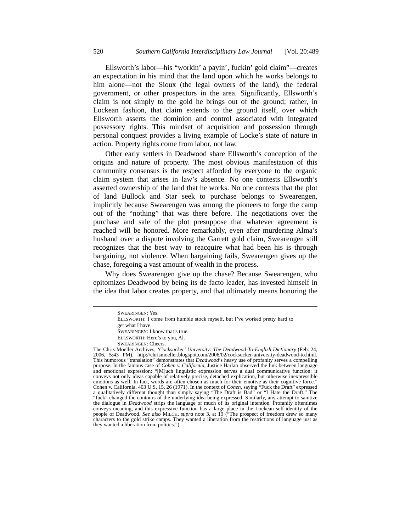Ellsworth's labor—his "workin' a payin', fuckin' gold claim"—creates an expectation in his mind that the land upon which he works belongs to him alone—not the Sioux (the legal owners of the land), the federal government, or other prospectors in the area. Significantly, Ellsworth's claim is not simply to the gold he brings out of the ground; rather, in Lockean fashion, that claim extends to the ground itself, over which Ellsworth asserts the dominion and control associated with integrated possessory rights. This mindset of acquisition and possession through personal conquest provides a living example of Locke's state of nature in action. Property rights come from labor, not law.

Other early settlers in Deadwood share Ellsworth's conception of the origins and nature of property. The most obvious manifestation of this community consensus is the respect afforded by everyone to the organic claim system that arises in law's absence. No one contests Ellsworth's asserted ownership of the land that he works. No one contests that the plot of land Bullock and Star seek to purchase belongs to Swearengen, implicitly because Swearengen was among the pioneers to forge the camp out of the "nothing" that was there before. The negotiations over the purchase and sale of the plot presuppose that whatever agreement is reached will be honored. More remarkably, even after murdering Alma's husband over a dispute involving the Garrett gold claim, Swearengen still recognizes that the best way to reacquire what had been his is through bargaining, not violence. When bargaining fails, Swearengen gives up the chase, foregoing a vast amount of wealth in the process.

Why does Swearengen give up the chase? Because Swearengen, who epitomizes Deadwood by being its de facto leader, has invested himself in the idea that labor creates property, and that ultimately means honoring the

SWEARINGEN: Yes.

ELLSWORTH: I come from humble stock myself, but I've worked pretty hard to get what I have. SWEARINGEN: I know that's true. ELLSWORTH: Here's to you, Al.

SWEARINGEN: Cheers.

The Chris Moeller Archives, *'Cocksucker' University: The Deadwood-To-English Dictionary* (Feb. 24, 2006, 5:43 PM), http://chrismoeller.blogspot.com/2006/02/cocksucker-university-deadwood-to.html. This humorous "translation" demonstrates that *Deadwood*'s heavy use of profanity serves a compelling purpose. In the famous case of *Cohen v. California*, Justice Harlan observed the link between language and emotional expression: "[M]uch linguistic expression serves a dual communicative function: it conveys not only ideas capable of relatively precise, detached explication, but otherwise inexpressible emotions as well. In fact, words are often chosen as much for their emotive as their cognitive force." Cohen v. California, 403 U.S. 15, 26 (1971). In the context of *Cohen*, saying "Fuck the Draft" expressed a qualitatively different thought than simply saying "The Draft is Bad" or "I Hate the Draft." The "fuck" changed the contours of the underlying idea being expressed. Similarly, any attempt to sanitize the dialogue in *Deadwood* strips the language of much of its original intention. Profanity oftentimes conveys meaning, and this expressive function has a large place in the Lockean self-identity of the people of Deadwood. *See also* MILCH, *supra* note 3, at 19 ("The prospect of freedom drew so many characters to the gold strike camps. They wanted a liberation from the restrictions of language just as they wanted a liberation from politics.").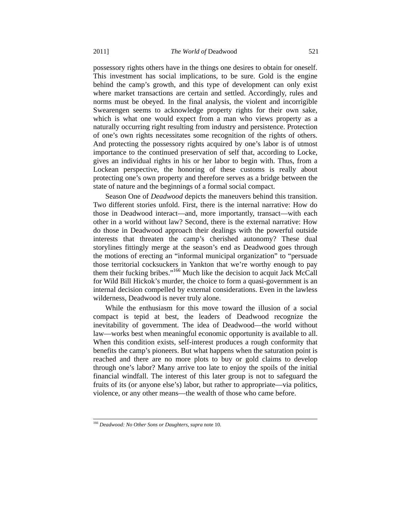possessory rights others have in the things one desires to obtain for oneself. This investment has social implications, to be sure. Gold is the engine behind the camp's growth, and this type of development can only exist where market transactions are certain and settled. Accordingly, rules and norms must be obeyed. In the final analysis, the violent and incorrigible Swearengen seems to acknowledge property rights for their own sake, which is what one would expect from a man who views property as a naturally occurring right resulting from industry and persistence. Protection of one's own rights necessitates some recognition of the rights of others. And protecting the possessory rights acquired by one's labor is of utmost importance to the continued preservation of self that, according to Locke, gives an individual rights in his or her labor to begin with. Thus, from a Lockean perspective, the honoring of these customs is really about protecting one's own property and therefore serves as a bridge between the state of nature and the beginnings of a formal social compact.

Season One of *Deadwood* depicts the maneuvers behind this transition. Two different stories unfold. First, there is the internal narrative: How do those in Deadwood interact—and, more importantly, transact—with each other in a world without law? Second, there is the external narrative: How do those in Deadwood approach their dealings with the powerful outside interests that threaten the camp's cherished autonomy? These dual storylines fittingly merge at the season's end as Deadwood goes through the motions of erecting an "informal municipal organization" to "persuade those territorial cocksuckers in Yankton that we're worthy enough to pay them their fucking bribes."166 Much like the decision to acquit Jack McCall for Wild Bill Hickok's murder, the choice to form a quasi-government is an internal decision compelled by external considerations. Even in the lawless wilderness, Deadwood is never truly alone.

While the enthusiasm for this move toward the illusion of a social compact is tepid at best, the leaders of Deadwood recognize the inevitability of government. The idea of Deadwood—the world without law—works best when meaningful economic opportunity is available to all. When this condition exists, self-interest produces a rough conformity that benefits the camp's pioneers. But what happens when the saturation point is reached and there are no more plots to buy or gold claims to develop through one's labor? Many arrive too late to enjoy the spoils of the initial financial windfall. The interest of this later group is not to safeguard the fruits of its (or anyone else's) labor, but rather to appropriate—via politics, violence, or any other means—the wealth of those who came before.

 <sup>166</sup> *Deadwood: No Other Sons or Daughters*, *supra* note 10.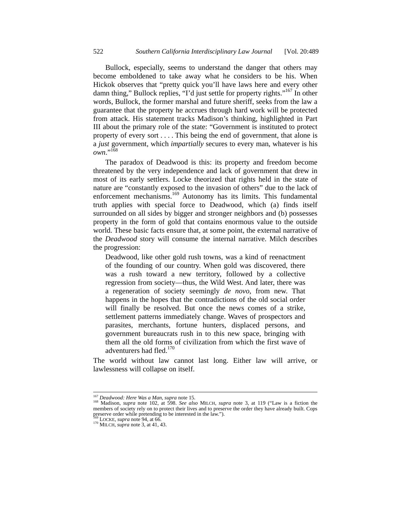Bullock, especially, seems to understand the danger that others may become emboldened to take away what he considers to be his. When Hickok observes that "pretty quick you'll have laws here and every other damn thing," Bullock replies, "I'd just settle for property rights."<sup>167</sup> In other words, Bullock, the former marshal and future sheriff, seeks from the law a guarantee that the property he accrues through hard work will be protected from attack. His statement tracks Madison's thinking, highlighted in Part III about the primary role of the state: "Government is instituted to protect property of every sort . . . . This being the end of government, that alone is a *just* government, which *impartially* secures to every man, whatever is his *own*."168

The paradox of Deadwood is this: its property and freedom become threatened by the very independence and lack of government that drew in most of its early settlers. Locke theorized that rights held in the state of nature are "constantly exposed to the invasion of others" due to the lack of enforcement mechanisms.<sup>169</sup> Autonomy has its limits. This fundamental truth applies with special force to Deadwood, which (a) finds itself surrounded on all sides by bigger and stronger neighbors and (b) possesses property in the form of gold that contains enormous value to the outside world. These basic facts ensure that, at some point, the external narrative of the *Deadwood* story will consume the internal narrative. Milch describes the progression:

Deadwood, like other gold rush towns, was a kind of reenactment of the founding of our country. When gold was discovered, there was a rush toward a new territory, followed by a collective regression from society—thus, the Wild West. And later, there was a regeneration of society seemingly *de novo*, from new. That happens in the hopes that the contradictions of the old social order will finally be resolved. But once the news comes of a strike, settlement patterns immediately change. Waves of prospectors and parasites, merchants, fortune hunters, displaced persons, and government bureaucrats rush in to this new space, bringing with them all the old forms of civilization from which the first wave of adventurers had fled.<sup>170</sup>

The world without law cannot last long. Either law will arrive, or lawlessness will collapse on itself.

<sup>&</sup>lt;sup>167</sup> *Deadwood: Here Was a Man, supra* note 15.<br><sup>168</sup> Madison, *supra* note 102, at 598. *See also* MILCH, *supra* note 3, at 119 ("Law is a fiction the members of society rely on to protect their lives and to preserve the order they have already built. Cops preserve order while pretending to be interested in the law."). 169 LOCKE, *supra* note 94, at 66. 170 MILCH, *supra* note 3, at 41, 43.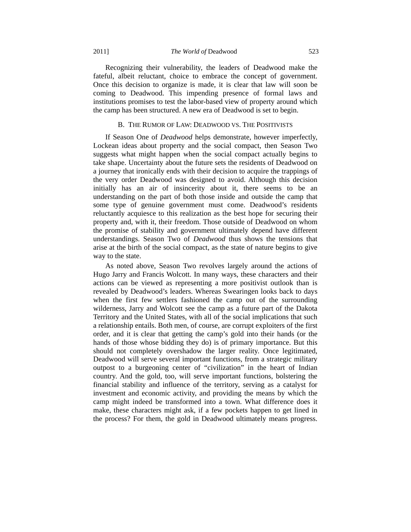Recognizing their vulnerability, the leaders of Deadwood make the fateful, albeit reluctant, choice to embrace the concept of government. Once this decision to organize is made, it is clear that law will soon be coming to Deadwood. This impending presence of formal laws and institutions promises to test the labor-based view of property around which the camp has been structured. A new era of Deadwood is set to begin.

#### B. THE RUMOR OF LAW: DEADWOOD VS. THE POSITIVISTS

If Season One of *Deadwood* helps demonstrate, however imperfectly, Lockean ideas about property and the social compact, then Season Two suggests what might happen when the social compact actually begins to take shape. Uncertainty about the future sets the residents of Deadwood on a journey that ironically ends with their decision to acquire the trappings of the very order Deadwood was designed to avoid. Although this decision initially has an air of insincerity about it, there seems to be an understanding on the part of both those inside and outside the camp that some type of genuine government must come. Deadwood's residents reluctantly acquiesce to this realization as the best hope for securing their property and, with it, their freedom. Those outside of Deadwood on whom the promise of stability and government ultimately depend have different understandings. Season Two of *Deadwood* thus shows the tensions that arise at the birth of the social compact, as the state of nature begins to give way to the state.

As noted above, Season Two revolves largely around the actions of Hugo Jarry and Francis Wolcott. In many ways, these characters and their actions can be viewed as representing a more positivist outlook than is revealed by Deadwood's leaders. Whereas Swearingen looks back to days when the first few settlers fashioned the camp out of the surrounding wilderness, Jarry and Wolcott see the camp as a future part of the Dakota Territory and the United States, with all of the social implications that such a relationship entails. Both men, of course, are corrupt exploiters of the first order, and it is clear that getting the camp's gold into their hands (or the hands of those whose bidding they do) is of primary importance. But this should not completely overshadow the larger reality. Once legitimated, Deadwood will serve several important functions, from a strategic military outpost to a burgeoning center of "civilization" in the heart of Indian country. And the gold, too, will serve important functions, bolstering the financial stability and influence of the territory, serving as a catalyst for investment and economic activity, and providing the means by which the camp might indeed be transformed into a town. What difference does it make, these characters might ask, if a few pockets happen to get lined in the process? For them, the gold in Deadwood ultimately means progress.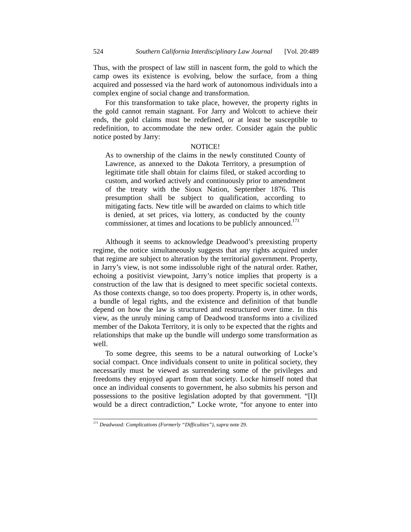Thus, with the prospect of law still in nascent form, the gold to which the camp owes its existence is evolving, below the surface, from a thing acquired and possessed via the hard work of autonomous individuals into a complex engine of social change and transformation.

For this transformation to take place, however, the property rights in the gold cannot remain stagnant. For Jarry and Wolcott to achieve their ends, the gold claims must be redefined, or at least be susceptible to redefinition, to accommodate the new order. Consider again the public notice posted by Jarry:

#### NOTICE!

As to ownership of the claims in the newly constituted County of Lawrence, as annexed to the Dakota Territory, a presumption of legitimate title shall obtain for claims filed, or staked according to custom, and worked actively and continuously prior to amendment of the treaty with the Sioux Nation, September 1876. This presumption shall be subject to qualification, according to mitigating facts. New title will be awarded on claims to which title is denied, at set prices, via lottery, as conducted by the county commissioner, at times and locations to be publicly announced.<sup>171</sup>

Although it seems to acknowledge Deadwood's preexisting property regime, the notice simultaneously suggests that any rights acquired under that regime are subject to alteration by the territorial government. Property, in Jarry's view, is not some indissoluble right of the natural order. Rather, echoing a positivist viewpoint, Jarry's notice implies that property is a construction of the law that is designed to meet specific societal contexts. As those contexts change, so too does property. Property is, in other words, a bundle of legal rights, and the existence and definition of that bundle depend on how the law is structured and restructured over time. In this view, as the unruly mining camp of Deadwood transforms into a civilized member of the Dakota Territory, it is only to be expected that the rights and relationships that make up the bundle will undergo some transformation as well.

To some degree, this seems to be a natural outworking of Locke's social compact. Once individuals consent to unite in political society, they necessarily must be viewed as surrendering some of the privileges and freedoms they enjoyed apart from that society. Locke himself noted that once an individual consents to government, he also submits his person and possessions to the positive legislation adopted by that government. "[I]t would be a direct contradiction," Locke wrote, "for anyone to enter into

 <sup>171</sup> *Deadwood: Complications (Formerly "Difficulties")*, *supra* note 29.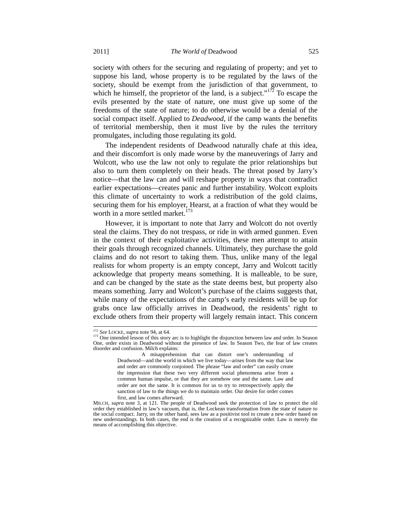society with others for the securing and regulating of property; and yet to suppose his land, whose property is to be regulated by the laws of the society, should be exempt from the jurisdiction of that government, to which he himself, the proprietor of the land, is a subject."<sup>172</sup> To escape the evils presented by the state of nature, one must give up some of the freedoms of the state of nature; to do otherwise would be a denial of the social compact itself. Applied to *Deadwood*, if the camp wants the benefits of territorial membership, then it must live by the rules the territory promulgates, including those regulating its gold.

The independent residents of Deadwood naturally chafe at this idea, and their discomfort is only made worse by the maneuverings of Jarry and Wolcott, who use the law not only to regulate the prior relationships but also to turn them completely on their heads. The threat posed by Jarry's notice—that the law can and will reshape property in ways that contradict earlier expectations—creates panic and further instability. Wolcott exploits this climate of uncertainty to work a redistribution of the gold claims, securing them for his employer, Hearst, at a fraction of what they would be worth in a more settled market. $173$ 

However, it is important to note that Jarry and Wolcott do not overtly steal the claims. They do not trespass, or ride in with armed gunmen. Even in the context of their exploitative activities, these men attempt to attain their goals through recognized channels. Ultimately, they purchase the gold claims and do not resort to taking them. Thus, unlike many of the legal realists for whom property is an empty concept, Jarry and Wolcott tacitly acknowledge that property means something. It is malleable, to be sure, and can be changed by the state as the state deems best, but property also means something. Jarry and Wolcott's purchase of the claims suggests that, while many of the expectations of the camp's early residents will be up for grabs once law officially arrives in Deadwood, the residents' right to exclude others from their property will largely remain intact. This concern

<sup>&</sup>lt;sup>172</sup> *See* LOCKE, *supra* note 94, at 64.<br><sup>173</sup> One intended lesson of this story arc is to highlight the disjunction between law and order. In Season One, order exists in Deadwood without the presence of law. In Season Two, the fear of law creates disorder and confusion. Milch explains:

A misapprehension that can distort one's understanding of Deadwood—and the world in which we live today—arises from the way that law and order are commonly conjoined. The phrase "law and order" can easily create the impression that these two very different social phenomena arise from a common human impulse, or that they are somehow one and the same. Law and order are not the same. It is common for us to try to retrospectively apply the sanction of law to the things we do to maintain order. Our desire for order comes first, and law comes afterward.

MILCH, *supra* note 3, at 121. The people of Deadwood seek the protection of law to protect the old order they established in law's vacuum, that is, the Lockean transformation from the state of nature to the social compact. Jarry, on the other hand, sees law as a positivist tool to create a new order based on new understandings. In both cases, the end is the creation of a recognizable order. Law is merely the means of accomplishing this objective.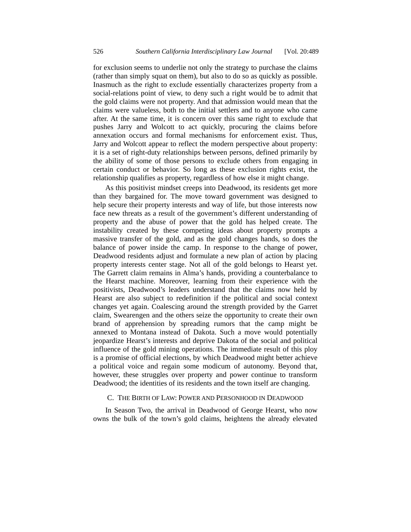for exclusion seems to underlie not only the strategy to purchase the claims (rather than simply squat on them), but also to do so as quickly as possible. Inasmuch as the right to exclude essentially characterizes property from a social-relations point of view, to deny such a right would be to admit that the gold claims were not property. And that admission would mean that the claims were valueless, both to the initial settlers and to anyone who came after. At the same time, it is concern over this same right to exclude that pushes Jarry and Wolcott to act quickly, procuring the claims before annexation occurs and formal mechanisms for enforcement exist. Thus, Jarry and Wolcott appear to reflect the modern perspective about property: it is a set of right-duty relationships between persons, defined primarily by the ability of some of those persons to exclude others from engaging in certain conduct or behavior. So long as these exclusion rights exist, the relationship qualifies as property, regardless of how else it might change.

As this positivist mindset creeps into Deadwood, its residents get more than they bargained for. The move toward government was designed to help secure their property interests and way of life, but those interests now face new threats as a result of the government's different understanding of property and the abuse of power that the gold has helped create. The instability created by these competing ideas about property prompts a massive transfer of the gold, and as the gold changes hands, so does the balance of power inside the camp. In response to the change of power, Deadwood residents adjust and formulate a new plan of action by placing property interests center stage. Not all of the gold belongs to Hearst yet. The Garrett claim remains in Alma's hands, providing a counterbalance to the Hearst machine. Moreover, learning from their experience with the positivists, Deadwood's leaders understand that the claims now held by Hearst are also subject to redefinition if the political and social context changes yet again. Coalescing around the strength provided by the Garret claim, Swearengen and the others seize the opportunity to create their own brand of apprehension by spreading rumors that the camp might be annexed to Montana instead of Dakota. Such a move would potentially jeopardize Hearst's interests and deprive Dakota of the social and political influence of the gold mining operations. The immediate result of this ploy is a promise of official elections, by which Deadwood might better achieve a political voice and regain some modicum of autonomy. Beyond that, however, these struggles over property and power continue to transform Deadwood; the identities of its residents and the town itself are changing.

#### C. THE BIRTH OF LAW: POWER AND PERSONHOOD IN DEADWOOD

In Season Two, the arrival in Deadwood of George Hearst, who now owns the bulk of the town's gold claims, heightens the already elevated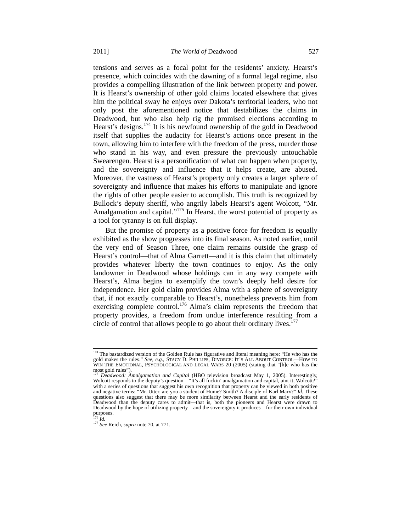tensions and serves as a focal point for the residents' anxiety. Hearst's presence, which coincides with the dawning of a formal legal regime, also provides a compelling illustration of the link between property and power. It is Hearst's ownership of other gold claims located elsewhere that gives him the political sway he enjoys over Dakota's territorial leaders, who not only post the aforementioned notice that destabilizes the claims in Deadwood, but who also help rig the promised elections according to Hearst's designs.<sup>174</sup> It is his newfound ownership of the gold in Deadwood itself that supplies the audacity for Hearst's actions once present in the town, allowing him to interfere with the freedom of the press, murder those who stand in his way, and even pressure the previously untouchable Swearengen. Hearst is a personification of what can happen when property, and the sovereignty and influence that it helps create, are abused. Moreover, the vastness of Hearst's property only creates a larger sphere of sovereignty and influence that makes his efforts to manipulate and ignore the rights of other people easier to accomplish. This truth is recognized by Bullock's deputy sheriff, who angrily labels Hearst's agent Wolcott, "Mr. Amalgamation and capital."<sup>175</sup> In Hearst, the worst potential of property as a tool for tyranny is on full display.

But the promise of property as a positive force for freedom is equally exhibited as the show progresses into its final season. As noted earlier, until the very end of Season Three, one claim remains outside the grasp of Hearst's control—that of Alma Garrett—and it is this claim that ultimately provides whatever liberty the town continues to enjoy. As the only landowner in Deadwood whose holdings can in any way compete with Hearst's, Alma begins to exemplify the town's deeply held desire for independence. Her gold claim provides Alma with a sphere of sovereignty that, if not exactly comparable to Hearst's, nonetheless prevents him from exercising complete control.<sup>176</sup> Alma's claim represents the freedom that property provides, a freedom from undue interference resulting from a circle of control that allows people to go about their ordinary lives. $177$ 

<sup>&</sup>lt;sup>174</sup> The bastardized version of the Golden Rule has figurative and literal meaning here: "He who has the gold makes the rules." *See, e.g.*, Stacy D. Phillips, Divorce: It's All About Control—How to<br>Win The Emotional, Psychological and Legal Wars 20 (2005) (stating that "[h]e who has the most gold rules").

<sup>175</sup> *Deadwood: Amalgamation and Capital* (HBO television broadcast May 1, 2005). Interestingly, Wolcott responds to the deputy's question—"It's all fuckin' amalgamation and capital, aint it, Wolcott?" with a series of questions that suggest his own recognition that property can be viewed in both positive and negative terms: "Mr. Utter, are you a student of Hume? Smith? A disciple of Karl Marx?" *Id.* These questions also suggest that there may be more similarity between Hearst and the early residents of Deadwood than the deputy cares to admit—that is, both the pioneers and Hearst were drawn to Deadwood by the hope of utilizing property—and the sovereignty it produces—for their own individual purposes.<br><sup>176</sup> Id.

<sup>176</sup> *Id.* <sup>177</sup> *See* Reich, *supra* note 70, at 771.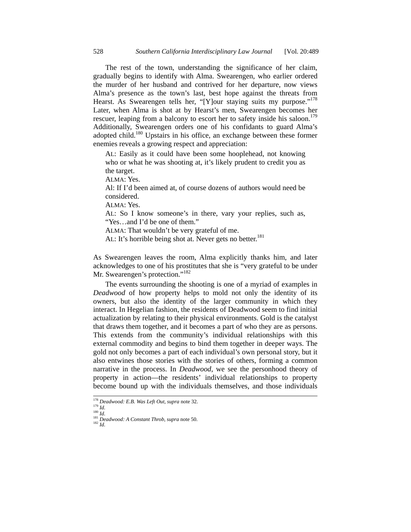The rest of the town, understanding the significance of her claim, gradually begins to identify with Alma. Swearengen, who earlier ordered the murder of her husband and contrived for her departure, now views Alma's presence as the town's last, best hope against the threats from Hearst. As Swearengen tells her, "[Y]our staying suits my purpose."<sup>178</sup> Later, when Alma is shot at by Hearst's men, Swearengen becomes her rescuer, leaping from a balcony to escort her to safety inside his saloon.<sup>179</sup> Additionally, Swearengen orders one of his confidants to guard Alma's adopted child.<sup>180</sup> Upstairs in his office, an exchange between these former enemies reveals a growing respect and appreciation:

AL: Easily as it could have been some hooplehead, not knowing who or what he was shooting at, it's likely prudent to credit you as the target.

ALMA: Yes.

Al: If I'd been aimed at, of course dozens of authors would need be considered.

 $AIMA·Yes$ 

AL: So I know someone's in there, vary your replies, such as, "Yes…and I'd be one of them."

ALMA: That wouldn't be very grateful of me.

AL: It's horrible being shot at. Never gets no better.<sup>181</sup>

As Swearengen leaves the room, Alma explicitly thanks him, and later acknowledges to one of his prostitutes that she is "very grateful to be under Mr. Swearengen's protection."<sup>182</sup>

The events surrounding the shooting is one of a myriad of examples in *Deadwood* of how property helps to mold not only the identity of its owners, but also the identity of the larger community in which they interact. In Hegelian fashion, the residents of Deadwood seem to find initial actualization by relating to their physical environments. Gold is the catalyst that draws them together, and it becomes a part of who they are as persons. This extends from the community's individual relationships with this external commodity and begins to bind them together in deeper ways. The gold not only becomes a part of each individual's own personal story, but it also entwines those stories with the stories of others, forming a common narrative in the process. In *Deadwood*, we see the personhood theory of property in action—the residents' individual relationships to property become bound up with the individuals themselves, and those individuals

<sup>178</sup> *Deadwood: E.B. Was Left Out*, *supra* note 32. 179 *Id.*

<sup>180</sup> *Id.* <sup>181</sup> *Deadwood: A Constant Throb*, *supra* note 50. 182 *Id.*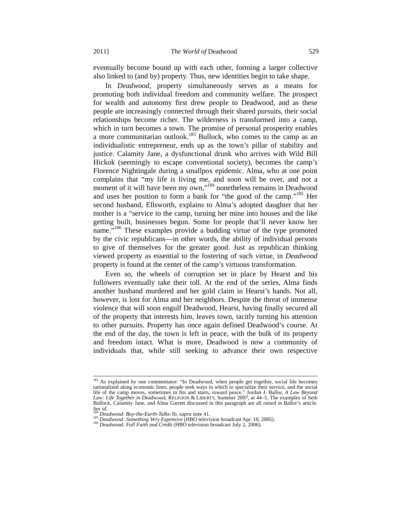eventually become bound up with each other, forming a larger collective also linked to (and by) property. Thus, new identities begin to take shape.

In *Deadwood*, property simultaneously serves as a means for promoting both individual freedom and community welfare. The prospect for wealth and autonomy first drew people to Deadwood, and as these people are increasingly connected through their shared pursuits, their social relationships become richer. The wilderness is transformed into a camp, which in turn becomes a town. The promise of personal prosperity enables a more communitarian outlook.<sup>183</sup> Bullock, who comes to the camp as an individualistic entrepreneur, ends up as the town's pillar of stability and justice. Calamity Jane, a dysfunctional drunk who arrives with Wild Bill Hickok (seemingly to escape conventional society), becomes the camp's Florence Nightingale during a smallpox epidemic. Alma, who at one point complains that "my life is living me, and soon will be over, and not a moment of it will have been my own,"<sup>184</sup> nonetheless remains in Deadwood and uses her position to form a bank for "the good of the camp."185 Her second husband, Ellsworth, explains to Alma's adopted daughter that her mother is a "service to the camp, turning her mine into houses and the like getting built, businesses begun. Some for people that'll never know her name."<sup>186</sup> These examples provide a budding virtue of the type promoted by the civic republicans—in other words, the ability of individual persons to give of themselves for the greater good. Just as republican thinking viewed property as essential to the fostering of such virtue, in *Deadwood* property is found at the center of the camp's virtuous transformation.

Even so, the wheels of corruption set in place by Hearst and his followers eventually take their toll. At the end of the series, Alma finds another husband murdered and her gold claim in Hearst's hands. Not all, however, is lost for Alma and her neighbors. Despite the threat of immense violence that will soon engulf Deadwood, Hearst, having finally secured all of the property that interests him, leaves town, tacitly turning his attention to other pursuits. Property has once again defined Deadwood's course. At the end of the day, the town is left in peace, with the bulk of its property and freedom intact. What is more, Deadwood is now a community of individuals that, while still seeking to advance their own respective

<sup>&</sup>lt;sup>183</sup> As explained by one commentator: "In Deadwood, when people get together, social life becomes rationalized along economic lines, people seek ways in which to specialize their service, and the social life of the camp moves, sometimes in fits and starts, toward peace." Jordan J. Ballor, *A Law Beyond Law: Life Together in* Deadwood, RELIGION & LIBERTY, Summer 2007, at 44–5. The examples of Seth Bullock, Calamity Jane, and Alma Garrett discussed in this paragraph are all raised in Ballor's article.

See id.<br><sup>184</sup> Deadwood: Boy-the-Earth-Talks-To, supra note 41.

<sup>&</sup>lt;sup>185</sup> Deadwood: Something Very Expensive (HBO television broadcast Apr. 10, 2005).<br><sup>186</sup> Deadwood: Full Faith and Credit (HBO television broadcast July 2, 2006).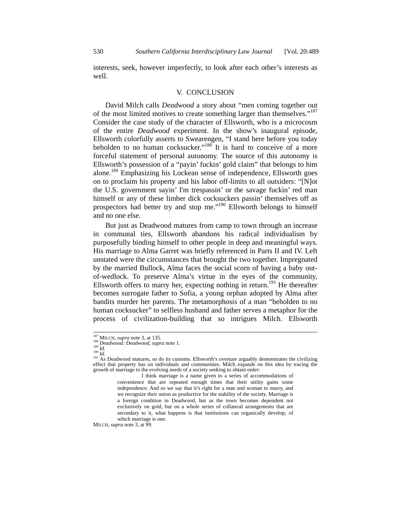interests, seek, however imperfectly, to look after each other's interests as well.

#### V. CONCLUSION

David Milch calls *Deadwood* a story about "men coming together out of the most limited motives to create something larger than themselves."<sup>187</sup> Consider the case study of the character of Ellsworth, who is a microcosm of the entire *Deadwood* experiment. In the show's inaugural episode, Ellsworth colorfully asserts to Swearengen, "I stand here before you today beholden to no human cocksucker."<sup>188</sup> It is hard to conceive of a more forceful statement of personal autonomy. The source of this autonomy is Ellsworth's possession of a "payin' fuckin' gold claim" that belongs to him alone.189 Emphasizing his Lockean sense of independence, Ellsworth goes on to proclaim his property and his labor off-limits to all outsiders: "[N]ot the U.S. government sayin' I'm trespassin' or the savage fuckin' red man himself or any of these limber dick cocksuckers passin' themselves off as prospectors had better try and stop me."190 Ellsworth belongs to himself and no one else.

But just as Deadwood matures from camp to town through an increase in communal ties, Ellsworth abandons his radical individualism by purposefully binding himself to other people in deep and meaningful ways. His marriage to Alma Garret was briefly referenced in Parts II and IV. Left unstated were the circumstances that brought the two together. Impregnated by the married Bullock, Alma faces the social scorn of having a baby outof-wedlock. To preserve Alma's virtue in the eyes of the community, Ellsworth offers to marry her, expecting nothing in return.<sup>191</sup> He thereafter becomes surrogate father to Sofia, a young orphan adopted by Alma after bandits murder her parents. The metamorphosis of a man "beholden to no human cocksucker" to selfless husband and father serves a metaphor for the process of civilization-building that so intrigues Milch. Ellsworth

MILCH, *supra* note 3, at 99.

<sup>&</sup>lt;sup>187</sup> MILCH, *supra* note 3, at 135.<br><sup>188</sup> *Deadwood: Deadwood, supra* note 1.<br><sup>190</sup> *Id.* <sup>191</sup> As Deadwood matures, so do its customs. Ellsworth's overture arguably demonstrates the civilizing<br><sup>191</sup> As Deadwood matures, effect that property has on individuals and communities. Milch expands on this idea by tracing the growth of marriage to the evolving needs of a society seeking to obtain order:

I think marriage is a name given to a series of accommodations of convenience that are repeated enough times that their utility gains some independence. And so we say that it's right for a man and woman to marry, and we recognize their union as productive for the stability of the society. Marriage is a foreign condition in Deadwood, but as the town becomes dependent not exclusively on gold, but on a whole series of collateral arrangements that are secondary to it, what happens is that institutions can organically develop, of which marriage is one.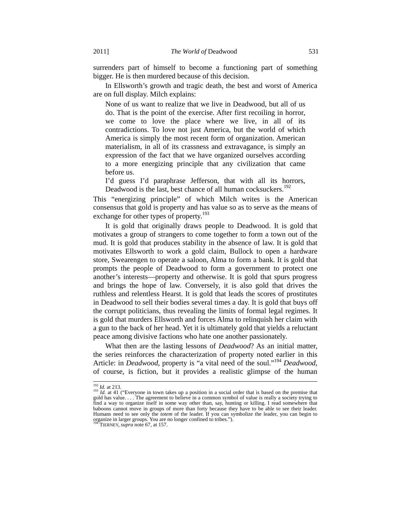surrenders part of himself to become a functioning part of something bigger. He is then murdered because of this decision.

In Ellsworth's growth and tragic death, the best and worst of America are on full display. Milch explains:

None of us want to realize that we live in Deadwood, but all of us do. That is the point of the exercise. After first recoiling in horror, we come to love the place where we live, in all of its contradictions. To love not just America, but the world of which America is simply the most recent form of organization. American materialism, in all of its crassness and extravagance, is simply an expression of the fact that we have organized ourselves according to a more energizing principle that any civilization that came before us.

I'd guess I'd paraphrase Jefferson, that with all its horrors, Deadwood is the last, best chance of all human cocksuckers.<sup>192</sup>

This "energizing principle" of which Milch writes is the American consensus that gold is property and has value so as to serve as the means of exchange for other types of property.<sup>193</sup>

It is gold that originally draws people to Deadwood. It is gold that motivates a group of strangers to come together to form a town out of the mud. It is gold that produces stability in the absence of law. It is gold that motivates Ellsworth to work a gold claim, Bullock to open a hardware store, Swearengen to operate a saloon, Alma to form a bank. It is gold that prompts the people of Deadwood to form a government to protect one another's interests—property and otherwise. It is gold that spurs progress and brings the hope of law. Conversely, it is also gold that drives the ruthless and relentless Hearst. It is gold that leads the scores of prostitutes in Deadwood to sell their bodies several times a day. It is gold that buys off the corrupt politicians, thus revealing the limits of formal legal regimes. It is gold that murders Ellsworth and forces Alma to relinquish her claim with a gun to the back of her head. Yet it is ultimately gold that yields a reluctant peace among divisive factions who hate one another passionately.

What then are the lasting lessons of *Deadwood*? As an initial matter, the series reinforces the characterization of property noted earlier in this Article: in *Deadwood*, property is "a vital need of the soul."<sup>194</sup> *Deadwood*, of course, is fiction, but it provides a realistic glimpse of the human

<sup>&</sup>lt;sup>192</sup> *Id.* at 213.<br><sup>193</sup> *Id.* at 41 ("Everyone in town takes up a position in a social order that is based on the premise that gold has value.... The agreement to believe in a common symbol of value is really a society find a way to organize itself in some way other than, say, hunting or killing. I read somewhere that baboons cannot move in groups of more than forty because they have to be able to see their leader. Humans need to see only the *totem* of the leader. If you can symbolize the leader, you can begin to organize in larger groups. You are no longer confined to tribes.").

TIERNEY, *supra* note 67, at 157.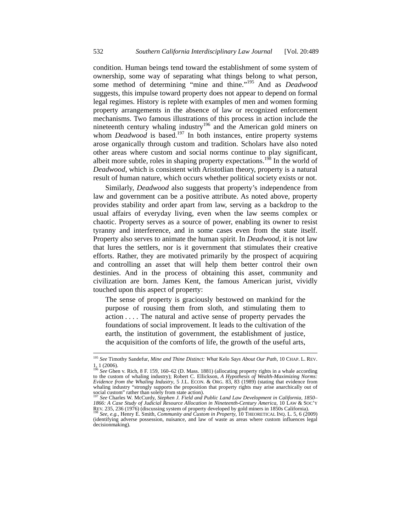condition. Human beings tend toward the establishment of some system of ownership, some way of separating what things belong to what person, some method of determining "mine and thine."195 And as *Deadwood* suggests, this impulse toward property does not appear to depend on formal legal regimes. History is replete with examples of men and women forming property arrangements in the absence of law or recognized enforcement mechanisms. Two famous illustrations of this process in action include the nineteenth century whaling industry<sup>196</sup> and the American gold miners on whom *Deadwood* is based.<sup>197</sup> In both instances, entire property systems arose organically through custom and tradition. Scholars have also noted other areas where custom and social norms continue to play significant, albeit more subtle, roles in shaping property expectations.<sup>198</sup> In the world of *Deadwood*, which is consistent with Aristotlian theory, property is a natural result of human nature, which occurs whether political society exists or not.

Similarly, *Deadwood* also suggests that property's independence from law and government can be a positive attribute. As noted above, property provides stability and order apart from law, serving as a backdrop to the usual affairs of everyday living, even when the law seems complex or chaotic. Property serves as a source of power, enabling its owner to resist tyranny and interference, and in some cases even from the state itself. Property also serves to animate the human spirit. In *Deadwood*, it is not law that lures the settlers, nor is it government that stimulates their creative efforts. Rather, they are motivated primarily by the prospect of acquiring and controlling an asset that will help them better control their own destinies. And in the process of obtaining this asset, community and civilization are born. James Kent, the famous American jurist, vividly touched upon this aspect of property:

The sense of property is graciously bestowed on mankind for the purpose of rousing them from sloth, and stimulating them to action . . . . The natural and active sense of property pervades the foundations of social improvement. It leads to the cultivation of the earth, the institution of government, the establishment of justice, the acquisition of the comforts of life, the growth of the useful arts,

 <sup>195</sup> *See* Timothy Sandefur, *Mine and Thine Distinct: What* Kelo *Says About Our Path*, 10 CHAP. L. REV. 1, 1 (2006). <sup>196</sup> *See* Ghen v. Rich, 8 F. 159, 160–62 (D. Mass. 1881) (allocating property rights in a whale according

to the custom of whaling industry); Robert C. Ellickson, *A Hypothesis of Wealth-Maximizing Norms: Evidence from the Whaling Industry*, 5 J.L. ECON. & ORG. 83, 83 (1989) (stating that evidence from whaling industry "strongly supports the proposition that property rights may arise anarchically out of social custom" rather than solely from state action). <sup>197</sup> *See* Charles W. McCurdy, *Stephen J. Field and Public Land Law Development in California, 1850–*

*<sup>1866:</sup> A Case Study of Judicial Resource Allocation in Nineteenth-Century America*, 10 LAW & SOC'Y

REV. 235, 236 (1976) (discussing system of property developed by gold miners in 1850s California). 198 *See, e.g.*, Henry E. Smith, *Community and Custom in Property*, 10 THEORETICAL INQ. L. 5, 6 (2009) (identifying adverse possession, nuisance, and law of waste as areas where custom influences legal decisionmaking).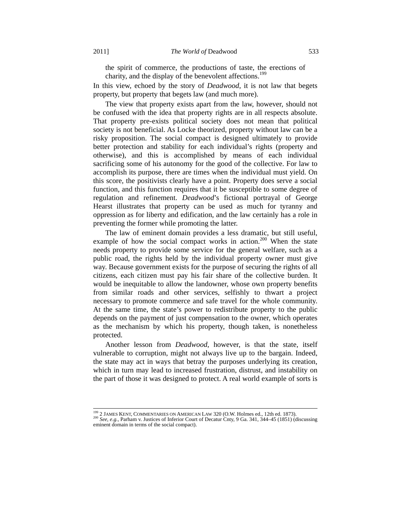the spirit of commerce, the productions of taste, the erections of charity, and the display of the benevolent affections.<sup>199</sup>

In this view, echoed by the story of *Deadwood*, it is not law that begets property, but property that begets law (and much more).

The view that property exists apart from the law, however, should not be confused with the idea that property rights are in all respects absolute. That property pre-exists political society does not mean that political society is not beneficial. As Locke theorized, property without law can be a risky proposition. The social compact is designed ultimately to provide better protection and stability for each individual's rights (property and otherwise), and this is accomplished by means of each individual sacrificing some of his autonomy for the good of the collective. For law to accomplish its purpose, there are times when the individual must yield. On this score, the positivists clearly have a point. Property does serve a social function, and this function requires that it be susceptible to some degree of regulation and refinement. *Deadwood*'s fictional portrayal of George Hearst illustrates that property can be used as much for tyranny and oppression as for liberty and edification, and the law certainly has a role in preventing the former while promoting the latter.

The law of eminent domain provides a less dramatic, but still useful, example of how the social compact works in action.<sup>200</sup> When the state needs property to provide some service for the general welfare, such as a public road, the rights held by the individual property owner must give way. Because government exists for the purpose of securing the rights of all citizens, each citizen must pay his fair share of the collective burden. It would be inequitable to allow the landowner, whose own property benefits from similar roads and other services, selfishly to thwart a project necessary to promote commerce and safe travel for the whole community. At the same time, the state's power to redistribute property to the public depends on the payment of just compensation to the owner, which operates as the mechanism by which his property, though taken, is nonetheless protected.

Another lesson from *Deadwood*, however, is that the state, itself vulnerable to corruption, might not always live up to the bargain. Indeed, the state may act in ways that betray the purposes underlying its creation, which in turn may lead to increased frustration, distrust, and instability on the part of those it was designed to protect. A real world example of sorts is

<sup>&</sup>lt;sup>199</sup> 2 JAMES KENT, COMMENTARIES ON AMERICAN LAW 320 (O.W. Holmes ed., 12th ed. 1873).<br><sup>200</sup> *See, e.g.*, Parham v. Justices of Inferior Court of Decatur Cnty, 9 Ga. 341, 344–45 (1851) (discussing eminent domain in terms of the social compact).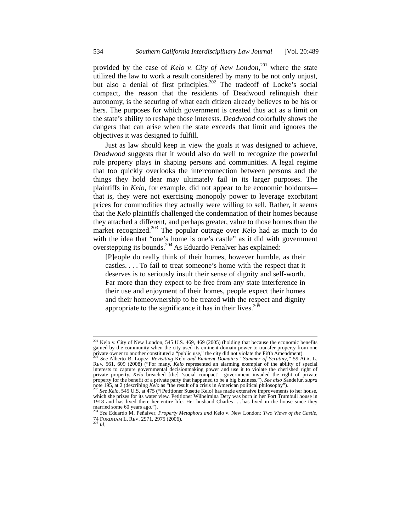provided by the case of *Kelo v. City of New London*, 201 where the state utilized the law to work a result considered by many to be not only unjust, but also a denial of first principles.<sup>202</sup> The tradeoff of Locke's social compact, the reason that the residents of Deadwood relinquish their autonomy, is the securing of what each citizen already believes to be his or hers. The purposes for which government is created thus act as a limit on the state's ability to reshape those interests. *Deadwood* colorfully shows the dangers that can arise when the state exceeds that limit and ignores the objectives it was designed to fulfill.

Just as law should keep in view the goals it was designed to achieve, *Deadwood* suggests that it would also do well to recognize the powerful role property plays in shaping persons and communities. A legal regime that too quickly overlooks the interconnection between persons and the things they hold dear may ultimately fail in its larger purposes. The plaintiffs in *Kelo*, for example, did not appear to be economic holdouts that is, they were not exercising monopoly power to leverage exorbitant prices for commodities they actually were willing to sell. Rather, it seems that the *Kelo* plaintiffs challenged the condemnation of their homes because they attached a different, and perhaps greater, value to those homes than the market recognized.<sup>203</sup> The popular outrage over *Kelo* had as much to do with the idea that "one's home is one's castle" as it did with government overstepping its bounds.<sup>204</sup> As Eduardo Penalver has explained:

[P]eople do really think of their homes, however humble, as their castles. . . . To fail to treat someone's home with the respect that it deserves is to seriously insult their sense of dignity and self-worth. Far more than they expect to be free from any state interference in their use and enjoyment of their homes, people expect their homes and their homeownership to be treated with the respect and dignity appropriate to the significance it has in their lives. $205$ 

<sup>&</sup>lt;sup>201</sup> Kelo v. City of New London, 545 U.S. 469, 469 (2005) (holding that because the economic benefits gained by the community when the city used its eminent domain power to transfer property from one

private owner to another constituted a "public use," the city did not violate the Fifth Amendment).<br><sup>202</sup> See Alberto B. Lopez, *Revisiting Kelo and Eminent Domain's "Summer of Scrutiny*," 59 ALA. L.<br>REV. 561, 609 (2008) ( interests to capture governmental decisionmaking power and use it to violate the cherished right of private property. *Kelo* breached [the] 'social compact'—government invaded the right of private property for the benefit of a private party that happened to be a big business."). *See also* Sandefur, *supra*  note 195, at 2 (describing *Kelo* as "the result of a crisis in American political philosophy"). 203 *See Kelo*, 545 U.S. at 475 ("[Petitioner Susette Kelo] has made extensive improvements to her house,

 $^{203}$  See Kelo, 545 U.S. at 475 ("[Petitioner Susette Kelo] has made extensive improvements to her house, which she prizes for its water view. Petitioner Wilhelmina Dery was born in her Fort Trumbull house in 1918 and has lived there her entire life. Her husband Charles . . . has lived in the house since they married some 60 years ago.").

<sup>204</sup> *See* Eduardo M. Peñalver, *Property Metaphors and* Kelo v. New London*: Two Views of the Castle*, 74 FORDHAM L. REV. 2971, 2975 (2006). 205 *Id.*